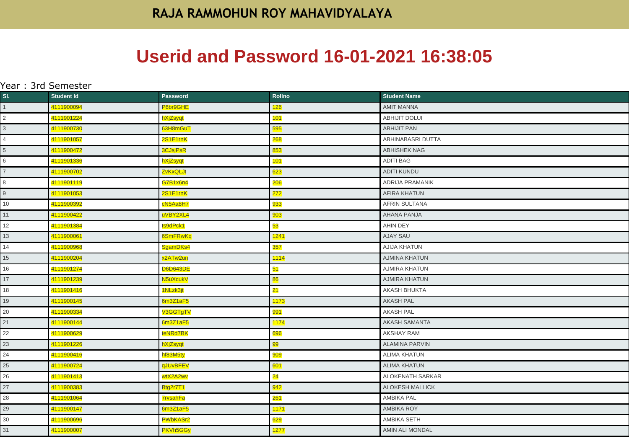## **Userid and Password 16-01-2021 16:38:05**

| Year : 3rd Semester |
|---------------------|
|---------------------|

| SI.            | <b>Student Id</b> | <b>Password</b> | <b>Rollno</b> | <b>Student Name</b>    |
|----------------|-------------------|-----------------|---------------|------------------------|
| 1              | 4111900094        | P6br9GHE        | 126           | <b>AMIT MANNA</b>      |
| $\overline{2}$ | 4111901224        | <u>hXjZsyqt</u> | 101           | <b>ABHIJIT DOLUI</b>   |
| $\mathbf{3}$   | 4111900730        | 63H8mGuT        | 595           | <b>ABHIJIT PAN</b>     |
| $\overline{4}$ | 4111901057        | 2S1E1rnK        | <b>268</b>    | ABHINABASRI DUTTA      |
| 5              | 4111900472        | 3CJsjPsR        | 853           | <b>ABHISHEK NAG</b>    |
| 6              | 4111901336        | <u>hXjZsyqt</u> | 101           | <b>ADITI BAG</b>       |
| $\overline{7}$ | 4111900702        | <b>ZvKxQLJt</b> | 623           | <b>ADITI KUNDU</b>     |
| 8              | 4111901119        | G7B1x6n4        | 206           | ADRIJA PRAMANIK        |
| 9              | 4111901053        | 2S1E1rnK        | 272           | <b>AFIRA KHATUN</b>    |
| 10             | 4111900392        | cN5Aa8H7        | 933           | <b>AFRIN SULTANA</b>   |
| 11             | 4111900422        | uVBY2XL4        | 903           | <b>AHANA PANJA</b>     |
| 12             | 4111901384        | s9dPck1         | 53            | <b>AHIN DEY</b>        |
| 13             | 4111900061        | 6SmFRwKq        | 1241          | <b>AJAY SAU</b>        |
| 14             | 4111900968        | SgamDKs4        | 357           | AJIJA KHATUN           |
| 15             | 4111900204        | x2ATw2un        | 1114          | <b>AJMINA KHATUN</b>   |
| 16             | 4111901274        | <b>D6D643DE</b> | 51            | <b>AJMIRA KHATUN</b>   |
| 17             | 4111901239        | N5uXcukV        | 86            | <b>AJMIRA KHATUN</b>   |
| 18             | 4111901416        | 1NLzk3jt        | 21            | <b>AKASH BHUKTA</b>    |
| 19             | 4111900145        | 6m3Z1aF5        | 1173          | <b>AKASH PAL</b>       |
| 20             | 4111900334        | V3GGTgTV        | 991           | <b>AKASH PAL</b>       |
| 21             | 4111900144        | 6m3Z1aF5        | 1174          | <b>AKASH SAMANTA</b>   |
| 22             | 4111900629        | teNRd7BK        | 696           | <b>AKSHAY RAM</b>      |
| 23             | 4111901226        | hXjZsyqt        | 99            | <b>ALAMINA PARVIN</b>  |
| 24             | 4111900416        | hf83M5ty        | 909           | <b>ALIMA KHATUN</b>    |
| 25             | 4111900724        | <b>qJUvBFEV</b> | 601           | <b>ALIMA KHATUN</b>    |
| 26             | 4111901413        | wtX2A2wv        | 24            | ALOKENATH SARKAR       |
| 27             | 4111900383        | Btg2r7T1        | 942           | <b>ALOKESH MALLICK</b> |
| 28             | 4111901064        | <b>7rvsahFa</b> | 261           | <b>AMBIKA PAL</b>      |
| 29             | 4111900147        | 6m3Z1aF5        | 1171          | <b>AMBIKA ROY</b>      |
| 30             | 4111900696        | <b>PWbKASr2</b> | 629           | AMBIKA SETH            |
| 31             | 4111900007        | <b>PKVh5GGy</b> | 1277          | AMIN ALI MONDAL        |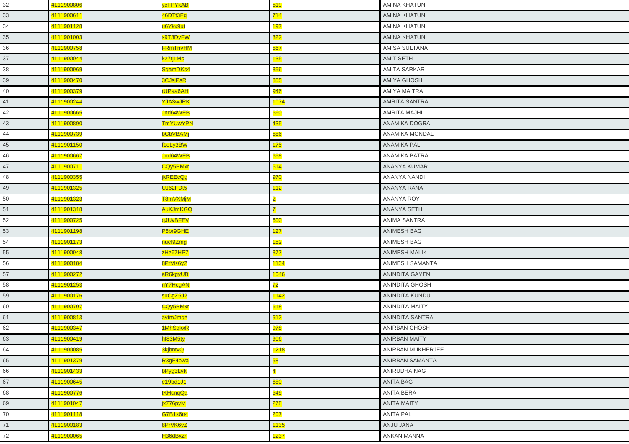| 32     | 4111900806 | ycFPYkAB                          | 519          | <b>AMINA KHATUN</b>   |
|--------|------------|-----------------------------------|--------------|-----------------------|
| 33     | 4111900611 | 46DTt3Fg                          | 714          | <b>AMINA KHATUN</b>   |
| 34     | 4111901128 | u6Ykx9ut                          | 197          | AMINA KHATUN          |
| 35     | 4111901003 | s9T3DyFW                          | 322          | <b>AMINA KHATUN</b>   |
| 36     | 4111900758 | <b>FRmTnvHM</b>                   | 567          | AMISA SULTANA         |
| 37     | 4111900044 | k <sub>27tj</sub> LM <sub>c</sub> | 135          | <b>AMIT SETH</b>      |
| 38     | 4111900969 | SgamDKs4                          | 356          | <b>AMITA SARKAR</b>   |
| 39     | 4111900470 | 3CJsjPsR                          | 855          | <b>AMIYA GHOSH</b>    |
| 40     | 4111900379 | rUPaa6AH                          | <u>946</u>   | AMIYA MAITRA          |
| 41     | 4111900244 | YJA3wJRK                          | 1074         | <b>AMRITA SANTRA</b>  |
| 42     | 4111900665 | Jnd64WEB                          | 660          | AMRITA MAJHI          |
| 43     | 4111900890 | <b>TmYUwYPN</b>                   | 435          | ANAMIKA DOGRA         |
| 44     | 4111900739 | bCbVBAMj                          | 586          | ANAMIKA MONDAL        |
| 45     | 4111901150 | f1eLy3BW                          | <b>175</b>   | <b>ANAMIKA PAL</b>    |
| 46     | 4111900667 | Jnd64WEB                          | 658          | <b>ANAMIKA PATRA</b>  |
| 47     | 4111900711 | CQy5BMxr                          | 614          | ANANYA KUMAR          |
| 48     | 4111900355 | jkREEcQg                          | 970          | ANANYA NANDI          |
| 49     | 4111901325 | UJ62FDt5                          | 112          | <b>ANANYA RANA</b>    |
| 50     | 4111901323 | T8mVXMjM                          |              | <b>ANANYA ROY</b>     |
| 51     | 4111901318 | <b>AuKJmKGQ</b>                   |              | ANANYA SETH           |
| 52     | 4111900725 | qJUvBFEV                          | 600          | <b>ANIMA SANTRA</b>   |
| 53     | 4111901198 | P6br9GHE                          | 127          | <b>ANIMESH BAG</b>    |
| 54     | 4111901173 | nucf9Zmg                          | 152          | ANIMESH BAG           |
| 55     | 4111900948 | zHz67HP7                          | 377          | <b>ANIMESH MALIK</b>  |
| 56     | 4111900184 | 8PrVK6yZ                          | <b>1134</b>  | ANIMESH SAMANTA       |
| 57     | 4111900272 | aR6kgyUB                          | 1046         | <b>ANINDITA GAYEN</b> |
| 58     | 4111901253 | nY7HcgAN                          | 72           | ANINDITA GHOSH        |
| 59     | 4111900176 | suCgZ5J2                          | 1142         | ANINDITA KUNDU        |
| 60     | 4111900707 | CQy5BMxr                          | 618          | <b>ANINDITA MAITY</b> |
| 61     | 4111900813 | aytmJmqz                          | 512          | ANINDITA SANTRA       |
| 62     | 4111900347 | 1MhSqkxR                          | 978          | ANIRBAN GHOSH         |
| 63     | 4111900419 | hf83M5ty                          | 906          | <b>ANIRBAN MAITY</b>  |
| 64     | 4111900085 | <b>3kjbntvQ</b>                   | 1218         | ANIRBAN MUKHERJEE     |
| 65     | 4111901379 | R3gF4bwa                          | 58           | ANIRBAN SAMANTA       |
| 66     | 4111901433 | bPyg3LvN                          |              | ANIRUDHA NAG          |
| 67     | 4111900645 | e19bd1J1                          | 680          | <b>ANITA BAG</b>      |
| 68     | 4111900776 | tKHcnqQa                          | <b>549</b>   | ANITA BERA            |
| 69     | 4111901047 | jx776pyM                          | 278          | <b>ANITA MAITY</b>    |
| 70     | 4111901118 | G7B1x6n4                          | 207          | <b>ANITA PAL</b>      |
| $71$   | 4111900183 | 8PrVK6yZ                          | 1135         | ANJU JANA             |
| $72\,$ | 4111900065 | H36dBxzn                          | <u> 1237</u> | ANKAN MANNA           |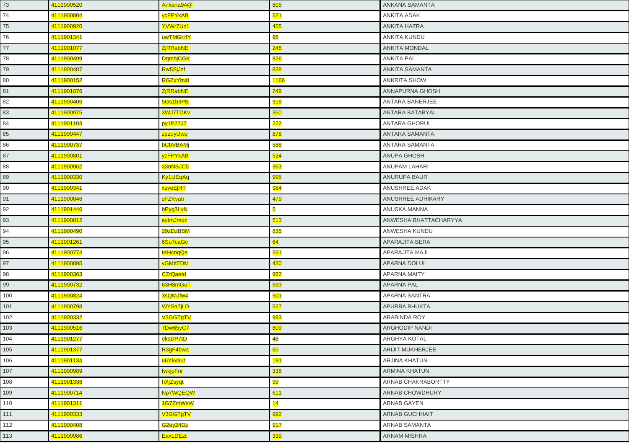| 4111900520        | Ankana94@             |             | ANKANA SAMANTA          |
|-------------------|-----------------------|-------------|-------------------------|
| 4111900804        | ycFPYkAB              | 521         | <b>ANKITA ADAK</b>      |
| 4111900920        | YVWr7Uz1              | 405         | ANKITA HAZRA            |
| 4111901341        | <b>uwTMGrHY</b>       | 96          | ANKITA KUNDU            |
| 4111901077        | <b>ZjRRabNE</b>       | 248         | <b>ANKITA MONDAL</b>    |
| 4111900499        | <b>DqmbjCGK</b>       | 826         | <b>ANKITA PAL</b>       |
| 4111900487        | Rw5SjJzf              | 838         | ANKITA SAMANTA          |
| 4111900152        | RGZxYbv8              | 1166        | <b>ANKRITA SHOW</b>     |
| 4111901076        | <b>ZjRRabNE</b>       | 249         | ANNAPURNA GHOSH         |
| 4111900406        | 5Gs1b3PB              | 919         | ANTARA BANERJEE         |
| 4111900975        | <b>3WJ7TDKv</b>       | 350         | ANTARA BATABYAL         |
| 4111901103        | py1P27J7              | <b>222</b>  | <b>ANTARA GHORUI</b>    |
| 4111900447        | zpzuyUwq              | 878         | ANTARA SAMANTA          |
| 4111900737        | bCbVBAMj              | 588         | ANTARA SAMANTA          |
| 4111900801        | ycFPYkAB              | 524         | <b>ANUPA GHOSH</b>      |
| 4111900962        | a3nNSJC5              | 363         | <b>ANUPAM LAHARI</b>    |
| 4111900330        | Ky1UEqAq              | 995         | ANURUPA BAUR            |
| 4111900341        | <b>xsveEjHT</b>       | 984         | ANUSHREE ADAK           |
| 4111900846        | <b>sFZKvatr</b>       | 479         | ANUSHREE ADHIKARY       |
| 4111901446        | bPyg3LvN              | 5           | ANUSKA MANNA            |
| 4111900812        | aytmJmqz              | 513         | ANWESHA BHATTACHARYYA   |
| 4111900490        | 29zDzBSM              | 835         | ANWESHA KUNDU           |
| 4111901261        | 6Su7caGc              | 64          | APARAJITA BERA          |
| 4111900774        | <b>tKHcnqQa</b>       | 551         | APARAJITA MAJI          |
| 4111900895        | <b>GMtfZDM</b>        | 430         | APARNA DOLUI            |
| 4111900363        | <b>CZtQaetd</b>       | 962         | <b>APARNA MAITY</b>     |
| 4111900732        | 63H8mGuT              | 593         | <b>APARNA PAL</b>       |
| 4111900824        | 3sQMJfw4              | 501         | APARNA SANTRA           |
| 4111900798        | <b>WYSa7jLD</b>       | 527         | APURBA BHUKTA           |
| 4111900332        | V3GGTgTV              | 993         | ARABINDA ROY            |
| 4111900516        | 7Dw65yC7              | 809         | <b>ARGHODIP NANDI</b>   |
| <u>4111901277</u> | eksDP7tD              | 48          | ARGHYA KOTAL            |
| 4111901377        | R3gF4bwa              | 60          | <b>ARIJIT MUKHERJEE</b> |
| 4111901134        | u6Ykx9ut              | <u> 191</u> | <b>ARJINA KHATUN</b>    |
| 4111900989        | fwkjpFnr              | 336         | <b>ARMINA KHATUN</b>    |
| 4111901338        | <u>hXjZsyqt</u>       | 99          | ARNAB CHAKRABORTTY      |
| 4111900714        | Np7WQEQW              | 611         | ARNAB CHOWDHURY         |
| 4111901311        | 1G7ZmWsW              | 14          | ARNAB GAYEN             |
| 4111900333        | V3GGTgTV              | 992         | <b>ARNAB GUCHHAIT</b>   |
| 4111900408        | G <sub>2ey</sub> 24Dz | <u>917</u>  | ARNAB SAMANTA           |
| 4111900986        | <b>EaxLDEzt</b>       | 339         | ARNAM MISHRA            |
|                   |                       |             | 805                     |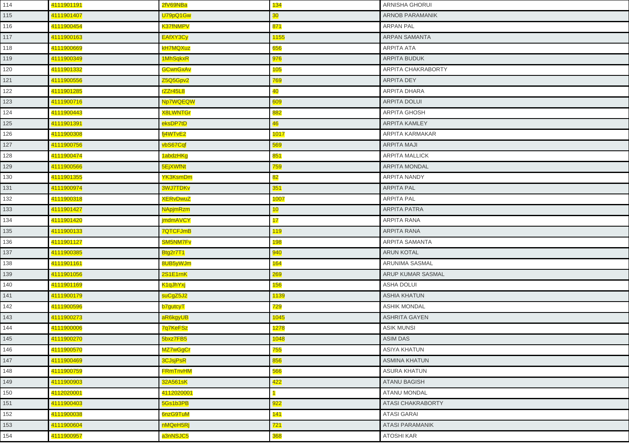| 114 | 4111901191 | 2fV69NBa              | <u> 134</u>      | <b>ARNISHA GHORUI</b>    |
|-----|------------|-----------------------|------------------|--------------------------|
| 115 | 4111901407 | U79pQ1Gw              | 30               | <b>ARNOB PARAMANIK</b>   |
| 116 | 4111900454 | <b>K37fNMPV</b>       | 871              | <b>ARPAN PAL</b>         |
| 117 | 4111900163 | EAfXY3Cy              | 1155             | <b>ARPAN SAMANTA</b>     |
| 118 | 4111900669 | kH7MQXuz              | 656              | ARPITA ATA               |
| 119 | 4111900349 | 1MhSqkxR              | 976              | <b>ARPITA BUDUK</b>      |
| 120 | 4111901332 | <b>GCwnGxAv</b>       | <mark>105</mark> | ARPITA CHAKRABORTY       |
| 121 | 4111900556 | Z5Q5Gpv2              | 769              | ARPITA DEY               |
| 122 | 4111901285 | rZZr45L8              | 40               | <b>ARPITA DHARA</b>      |
| 123 | 4111900716 | Np7WQEQW              | 609              | ARPITA DOLUI             |
| 124 | 4111900443 | <b>X8LWNTGr</b>       | 882              | ARPITA GHOSH             |
| 125 | 4111901391 | eksDP7tD              | 46               | <b>ARPITA KAMLEY</b>     |
| 126 | 4111900308 | fj4WTvE2              | 1017             | ARPITA KARMAKAR          |
| 127 | 4111900756 | vbS67Cqf              | 569              | <b>ARPITA MAJI</b>       |
| 128 | 4111900474 | 1abdzHKg              | 851              | <b>ARPITA MALLICK</b>    |
| 129 | 4111900566 | <b>5EjXWfNt</b>       | 759              | <b>ARPITA MONDAL</b>     |
| 130 | 4111901355 | YK3KsmDm              | 82               | <b>ARPITA NANDY</b>      |
| 131 | 4111900974 | 3WJ7TDKv              | 351              | <b>ARPITA PAL</b>        |
| 132 | 4111900318 | <b>XERvDwuZ</b>       | 1007             | <b>ARPITA PAL</b>        |
| 133 | 4111901427 | <b>NApjmRzm</b>       | 10               | <b>ARPITA PATRA</b>      |
| 134 | 4111901420 | jmdmAVCY              | 17               | <b>ARPITA RANA</b>       |
| 135 | 4111900133 | <b>7QTCFJmB</b>       | 119              | <b>ARPITA RANA</b>       |
| 136 | 4111901127 | <b>SM5NM7Fv</b>       | 198              | <b>ARPITA SAMANTA</b>    |
| 137 | 4111900385 | Btg2r7T1              | 940              | <b>ARUN KOTAL</b>        |
| 138 | 4111901161 | 8UB5yWJm              | <b>164</b>       | ARUNIMA SASMAL           |
| 139 | 4111901056 | 2S1E1mK               | 269              | <b>ARUP KUMAR SASMAL</b> |
| 140 | 4111901169 | K <sub>1</sub> qJhYxj | 156              | ASHA DOLUI               |
| 141 | 4111900179 | suCgZ5J2              | 1139             | <b>ASHIA KHATUN</b>      |
| 142 | 4111900596 | b7gutcyT              | 729              | <b>ASHIK MONDAL</b>      |
| 143 | 4111900273 | aR6kgyUB              | 1045             | <b>ASHRITA GAYEN</b>     |
| 144 | 4111900006 | 7q7KeFSz              | 1278             | <b>ASIK MUNSI</b>        |
| 145 | 4111900270 | 5bxz7FB5              | 1048             | ASIM DAS                 |
| 146 | 4111900570 | MZ7wGgCr              | 755              | <b>ASIYA KHATUN</b>      |
| 147 | 4111900469 | 3CJsjPsR              | 856              | <b>ASMINA KHATUN</b>     |
| 148 | 4111900759 | <b>FRmTnvHM</b>       | 566              | <b>ASURA KHATUN</b>      |
| 149 | 4111900903 | 32A561sK              | 422              | <b>ATANU BAGISH</b>      |
| 150 | 4112020001 | 4112020001            |                  | <b>ATANU MONDAL</b>      |
| 151 | 4111900403 | 5Gs1b3PB              | 922              | <b>ATASI CHAKRABORTY</b> |
| 152 | 4111900038 | 6nzG9TuM              | 141              | <b>ATASI GARAI</b>       |
| 153 | 4111900604 | nMQeH5Rj              | 721              | <b>ATASI PARAMANIK</b>   |
| 154 | 4111900957 | a3nNSJC5              | 368              | ATOSHI KAR               |
|     |            |                       |                  |                          |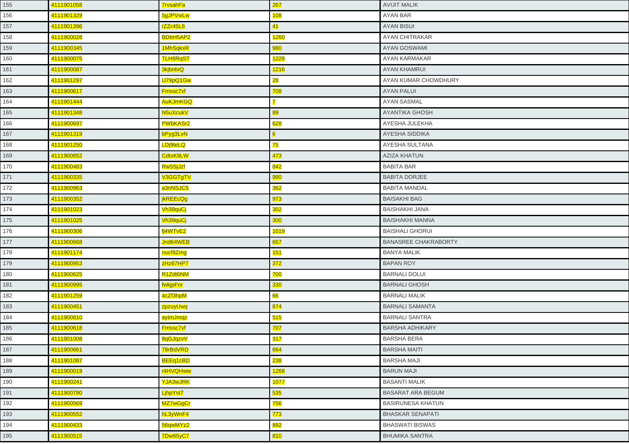| 155 | 4111901058        | <b>7rvsahFa</b> | 267        | <b>AVIJIT MALIK</b>         |
|-----|-------------------|-----------------|------------|-----------------------------|
| 156 | 4111901329        | 5gJPVwLw        | 108        | AYAN BAR                    |
| 157 | 4111901396        | rZZr45L8        | 41         | <b>AYAN BISUI</b>           |
| 158 | 4111900028        | BDbH5AP2        | 1260       | AYAN CHITRAKAR              |
| 159 | 4111900345        | 1MhSqkxR        | 980        | <b>AYAN GOSWAMI</b>         |
| 160 | 4111900075        | <b>TLH6RqST</b> | 1228       | AYAN KARMAKAR               |
| 161 | 4111900087        | <b>3kjbntvQ</b> | 1216       | <b>AYAN KHAMRUI</b>         |
| 162 | 4111901297        | U79pQ1Gw        | 28         | AYAN KUMAR CHOWDHURY        |
| 163 | 4111900617        | Fmssc7vf        | 708        | <b>AYAN PALUI</b>           |
| 164 | 4111901444        | <b>AuKJmKGQ</b> |            | <b>AYAN SASMAL</b>          |
| 165 | 4111901348        | N5uXcukV        | 89         | AYANTIKA GHOSH              |
| 166 | 4111900697        | <b>PWbKASr2</b> | 628        | AYESHA JULEKHA              |
| 167 | 4111901319        | bPyg3LvN        |            | AYESHA SIDDIKA              |
| 168 | 4111901250        | LDj9teLQ        | 75         | AYESHA SULTANA              |
| 169 | 4111900852        | <b>CdtxK9LW</b> | 473        | <b>AZIZA KHATUN</b>         |
| 170 | 4111900483        | Rw5SjJzf        | 842        | <b>BABITA BAR</b>           |
| 171 | 4111900335        | V3GGTgTV        | 990        | <b>BABITA DORJEE</b>        |
| 172 | 4111900963        | a3nNSJC5        | 362        | <b>BABITA MANDAL</b>        |
| 173 | 4111900352        | jkREEcQg        | 973        | <b>BAISAKHI BAG</b>         |
| 174 | 4111901023        | Vh39quCj        | 302        | <b>BAISHAKHI JANA</b>       |
| 175 | 4111901025        | Vh39quCj        | 300        | <b>BAISHAKHI MANNA</b>      |
| 176 | 4111900306        | fj4WTvE2        | 1019       | <b>BAISHALI GHORUI</b>      |
| 177 | 4111900668        | Jnd64WEB        | 657        | <b>BANASREE CHAKRABORTY</b> |
| 178 | 4111901174        | nucf9Zmg        | 151        | <b>BANYA MALIK</b>          |
| 179 | 4111900953        | zHz67HP7        | 372        | <b>BAPAN ROY</b>            |
| 180 | 4111900625        | R1Zdt6NM        | 700        | <b>BARNALI DOLUI</b>        |
| 181 | 4111900995        | fwkjpFnr        | 330        | <b>BARNALI GHOSH</b>        |
| 182 | 4111901259        | 4cZf3hpM        | 66         | <b>BARNALI MALIK</b>        |
| 183 | 4111900451        | zpzuyUwq        | 874        | <b>BARNALI SAMANTA</b>      |
| 184 | 4111900810        | aytmJmqz        | 515        | <b>BARNALI SANTRA</b>       |
| 185 | 4111900618        | Fmssc7vf        | 707        | <b>BARSHA ADHIKARY</b>      |
| 186 | <u>4111901008</u> | 8qGJqzvV        | <u>317</u> | BARSHA BERA                 |
| 187 | 4111900661        | 78rBdVRD        | 664        | <b>BARSHA MAITI</b>         |
| 188 | 4111901087        | BEEq1cBD        | <b>238</b> | <b>BARSHA MAJI</b>          |
| 189 | 4111900019        | r4HVQHww        | 1268       | <b>BARUN MAJI</b>           |
| 190 | 4111900241        | <b>YJA3wJRK</b> | 1077       | <b>BASANTI MALIK</b>        |
| 191 | 4111900790        | LjhpYst7        | 535        | <b>BASARAT ARA BEGUM</b>    |
| 192 | 4111900569        | MZ7wGgCr        | 756        | BASIRUNESA KHATUN           |
| 193 | 4111900552        | hL3yWnF4        | 773        | <b>BHASKAR SENAPATI</b>     |
| 194 | 4111900433        | 56qwMYz2        | <u>892</u> | <b>BHASWATI BISWAS</b>      |
| 195 | 4111900515        | 7Dw65yC7        | 810        | <b>BHUMIKA SANTRA</b>       |
|     |                   |                 |            |                             |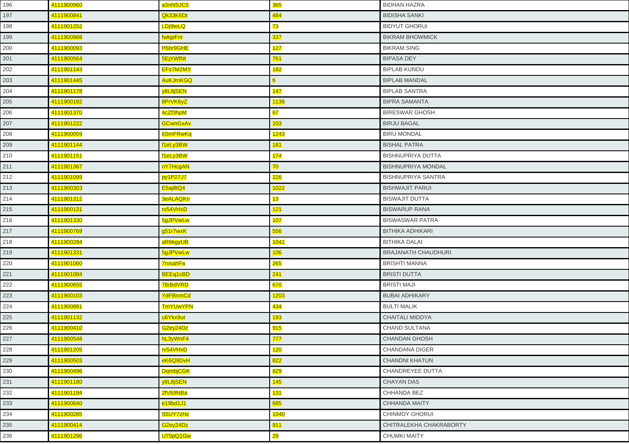| 196 | 4111900960 | a3nNSJC5        | 365              | <b>BIDHAN HAZRA</b>        |
|-----|------------|-----------------|------------------|----------------------------|
| 197 | 4111900841 | Qk33K6Dt        | 484              | <b>BIDISHA SANKI</b>       |
| 198 | 4111901252 | LDj9teLQ        | <u>73</u>        | <b>BIDYUT GHORUI</b>       |
| 199 | 4111900988 | fwkjpFnr        | 337              | <b>BIKRAM BHOWMICK</b>     |
| 200 | 4111900093 | P6br9GHE        | <u> 127</u>      | <b>BIKRAM SING</b>         |
| 201 | 4111900564 | <b>5EjXWfNt</b> | 761              | <b>BIPASA DEY</b>          |
| 202 | 4111901143 | EFs7M2MY        | <mark>182</mark> | <b>BIPLAB KUNDU</b>        |
| 203 | 4111901445 | <b>AuKJmKGQ</b> |                  | <b>BIPLAB MANDAL</b>       |
| 204 | 4111901178 | y8L8jSEN        | 147              | <b>BIPLAB SANTRA</b>       |
| 205 | 4111900182 | 8PrVK6yZ        | 1136             | <b>BIPRA SAMANTA</b>       |
| 206 | 4111901370 | 4cZf3hpM        | 67               | <b>BIRESWAR GHOSH</b>      |
| 207 | 4111901222 | <b>GCwnGxAv</b> | 103              | <b>BIRJU BAGAL</b>         |
| 208 | 4111900059 | 6SmFRwKq        | 1243             | <b>BIRU MONDAL</b>         |
| 209 | 4111901144 | f1eLy3BW        | 181              | <b>BISHAL PATRA</b>        |
| 210 | 4111901151 | f1eLy3BW        | <u> 174</u>      | BISHNUPRIYA DUTTA          |
| 211 | 4111901367 | nY7HcgAN        | 70               | <b>BISHNUPRIYA MONDAL</b>  |
| 212 | 4111901099 | py1P27J7        | 226              | <b>BISHNUPRIYA SANTRA</b>  |
| 213 | 4111900303 | E5aj8tQ4        | 1022             | <b>BISHWAJIT PARUI</b>     |
| 214 | 4111901312 | <b>3eALAQKn</b> | <u> 13</u>       | <b>BISWAJIT DUTTA</b>      |
| 215 | 4111900131 | rv54VHxD        | 121              | <b>BISWARUP RANA</b>       |
| 216 | 4111901330 | 5gJPVwLw        | <b>107</b>       | <b>BISWASWAR PATRA</b>     |
| 217 | 4111900769 | g51r7wxK        | 556              | <b>BITHIKA ADHIKARI</b>    |
| 218 | 4111900284 | aR6kgyUB        | 1041             | <b>BITHIKA DALAI</b>       |
| 219 | 4111901331 | 5gJPVwLw        | 106              | <b>BRAJANATH CHAUDHURI</b> |
| 220 | 4111901060 | <b>7rvsahFa</b> | 265              | <b>BRISHTI MANNA</b>       |
| 221 | 4111901084 | BEEq1cBD        | 241              | <b>BRISTI DUTTA</b>        |
| 222 | 4111900655 | 78rBdVRD        | 670              | <b>BRISTI MAJI</b>         |
| 223 | 4111900103 | YdFBnmCd        | 1203             | <b>BUBAI ADHIKARY</b>      |
| 224 | 4111900891 | <b>TmYUwYPN</b> | <mark>434</mark> | <b>BULTI MALIK</b>         |
| 225 | 4111901132 | u6Ykx9ut        | 193              | <b>CHAITALI MIDDYA</b>     |
| 226 | 4111900410 | G2ey24Dz        | 915              | <b>CHAND SULTANA</b>       |
| 227 | 4111900548 | hL3yWnF4        | 777              | <b>CHANDAN GHOSH</b>       |
| 228 | 4111901205 | rv54VHxD        | 120              | CHANDANA DIGER             |
| 229 | 4111900503 | eK6Q9DvH        | 822              | <b>CHANDNI KHATUN</b>      |
| 230 | 4111900496 | <b>DqmbjCGK</b> | 829              | CHANDREYEE DUTTA           |
| 231 | 4111901180 | y8L8jSEN        | 145              | <b>CHAYAN DAS</b>          |
| 232 | 4111901194 | 2fV69NBa        | <b>131</b>       | CHHANDA BEZ                |
| 233 | 4111900640 | e19bd1J1        | 685              | CHHANDA MAITY              |
| 234 | 4111900285 | S5UY7zHz        | <b>1040</b>      | CHINMOY GHORUI             |
| 235 | 4111900414 | G2ey24Dz        | 911              | CHITRALEKHA CHAKRABORTY    |
| 236 | 4111901296 | U79pQ1Gw        | <b>29</b>        | CHUMKI MAITY               |
|     |            |                 |                  |                            |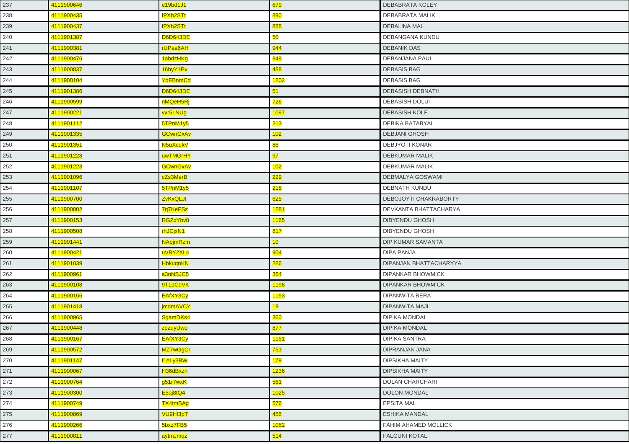| 237 | 4111900646        | e19bd1J1        | 679          | DEBABRATA KOLEY          |
|-----|-------------------|-----------------|--------------|--------------------------|
| 238 | 4111900435        | fPXh2STt        | 890          | DEBABRATA MALIK          |
| 239 | 4111900437        | fPXh2STt        | 888          | <b>DEBALINA MAL</b>      |
| 240 | 4111901387        | <b>D6D643DE</b> | 50           | <b>DEBANGANA KUNDU</b>   |
| 241 | 4111900381        | <b>rUPaa6AH</b> | 944          | <b>DEBANIK DAS</b>       |
| 242 | 4111900476        | 1abdzHKg        | 849          | <b>DEBANJANA PAUL</b>    |
| 243 | 4111900837        | 16hyY1Pv        | 488          | <b>DEBASIS BAG</b>       |
| 244 | 4111900104        | YdFBnmCd        | 1202         | <b>DEBASIS BAG</b>       |
| 245 | 4111901386        | <b>D6D643DE</b> | 51           | <b>DEBASISH DEBNATH</b>  |
| 246 | 4111900599        | nMQeH5Rj        | 726          | <b>DEBASISH DOLUI</b>    |
| 247 | 4111900221        | vvr5LNUg        | 1097         | <b>DEBASISH KOLE</b>     |
| 248 | 4111901112        | 5TPnM1y5        | <b>213</b>   | DEBIKA BATABYAL          |
| 249 | 4111901335        | <b>GCwnGxAv</b> | 102          | <b>DEBJANI GHOSH</b>     |
| 250 | 4111901351        | N5uXcukV        | 86           | DEBJYOTI KONAR           |
| 251 | 4111901228        | <b>uwTMGrHY</b> | 97           | <b>DEBKUMAR MALIK</b>    |
| 252 | 4111901223        | <b>GCwnGxAv</b> | 102          | DEBKUMAR MALIK           |
| 253 | 4111901096        | cZs3MerB        | 229          | DEBMALYA GOSWAMI         |
| 254 | 4111901107        | 5TPnM1y5        | <b>218</b>   | <b>DEBNATH KUNDU</b>     |
| 255 | 4111900700        | <b>ZvKxQLJt</b> | 625          | DEBOJOYTI CHAKRABORTY    |
| 256 | 4111900002        | 7q7KeFSz        | <b>1281</b>  | DEVKANTA BHATTACHARYA    |
| 257 | 4111900153        | RGZxYbv8        | 1165         | <b>DIBYENDU GHOSH</b>    |
| 258 | 4111900508        | rhJCjxN1        | 817          | DIBYENDU GHOSH           |
| 259 | 4111901441        | <b>NApjmRzm</b> | 10           | <b>DIP KUMAR SAMANTA</b> |
| 260 | 4111900421        | uVBY2XL4        | 904          | DIPA PANJA               |
| 261 | 4111901039        | <b>HbkuqnKN</b> | 286          | DIPANJAN BHATTACHARYYA   |
| 262 | 4111900961        | a3nNSJC5        | 364          | <b>DIPANKAR BHOWMICK</b> |
| 263 | 4111900108        | 9T1pCdVK        | 1198         | <b>DIPANKAR BHOWMICK</b> |
| 264 | 4111900165        | EAfXY3Cy        | 1153         | <b>DIPANWITA BERA</b>    |
| 265 | 4111901418        | <i>imdmAVCY</i> | 19           | DIPANWITA MAJI           |
| 266 | 4111900965        | SgamDKs4        | 360          | <b>DIPIKA MONDAL</b>     |
| 267 | 4111900448        | zpzuyUwq        | 877          | <b>DIPIKA MONDAL</b>     |
| 268 | <u>4111900167</u> | EAfXY3Cy        | <u> 1151</u> | DIPIKA SANTRA            |
| 269 | 4111900572        | MZ7wGgCr        | 753          | DIPRANJAN JANA           |
| 270 | 4111901147        | f1eLy3BW        | <u> 178</u>  | <b>DIPSIKHA MAITY</b>    |
| 271 | 4111900067        | H36dBxzn        | 1236         | <b>DIPSIKHA MAITY</b>    |
| 272 | 4111900764        | g51r7wxK        | <b>561</b>   | <b>DOLAN CHARCHARI</b>   |
| 273 | 4111900300        | E5aj8tQ4        | 1025         | <b>DOLON MONDAL</b>      |
| 274 | 4111900749        | TX4tmBAg        | 576          | <b>EPSITA MAL</b>        |
| 275 | 4111900869        | VU9Hf3pT        | 456          | <b>ESHIKA MANDAL</b>     |
| 276 | 4111900266        | 5bxz7FB5        | <b>1052</b>  | FAHIM AHAMED MOLLICK     |
| 277 | 4111900811        | aytmJmqz        | 514          | <b>FALGUNI KOTAL</b>     |
|     |                   |                 |              |                          |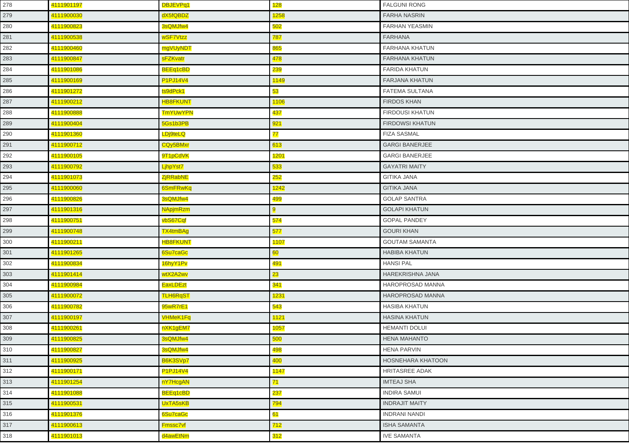| 278 | 4111901197 | DBJEVPq1        | <b>128</b>    | <b>FALGUNI RONG</b>    |
|-----|------------|-----------------|---------------|------------------------|
| 279 | 4111900030 | dX5fQBDZ        | <u> 1258 </u> | <b>FARHA NASRIN</b>    |
| 280 | 4111900823 | 3sQMJfw4        | <b>502</b>    | FARHAN YEASMIN         |
| 281 | 4111900538 | wSF7Vtzz        | 787           | <b>FARHANA</b>         |
| 282 | 4111900460 | mgVUyNDT        | 865           | <b>FARHANA KHATUN</b>  |
| 283 | 4111900847 | <b>sFZKvatr</b> | 478           | <b>FARHANA KHATUN</b>  |
| 284 | 4111901086 | BEEq1cBD        | <b>239</b>    | <b>FARIDA KHATUN</b>   |
| 285 | 4111900169 | P1PJ14V4        | 1149          | <b>FARJANA KHATUN</b>  |
| 286 | 4111901272 | ts9dPck1        | 53            | <b>FATEMA SULTANA</b>  |
| 287 | 4111900212 | <b>HB8FKUNT</b> | 1106          | <b>FIRDOS KHAN</b>     |
| 288 | 4111900888 | <b>TmYUwYPN</b> | 437           | <b>FIRDOUSI KHATUN</b> |
| 289 | 4111900404 | 5Gs1b3PB        | 921           | <b>FIRDOWSI KHATUN</b> |
| 290 | 4111901360 | LDj9teLQ        | 77            | <b>FIZA SASMAL</b>     |
| 291 | 4111900712 | CQy5BMxr        | 613           | <b>GARGI BANERJEE</b>  |
| 292 | 4111900105 | 9T1pCdVK        | <b>1201</b>   | <b>GARGI BANERJEE</b>  |
| 293 | 4111900792 | LjhpYst7        | 533           | <b>GAYATRI MAITY</b>   |
| 294 | 4111901073 | <b>ZjRRabNE</b> | 252           | <b>GITIKA JANA</b>     |
| 295 | 4111900060 | 6SmFRwKq        | 1242          | <b>GITIKA JANA</b>     |
| 296 | 4111900826 | 3sQMJfw4        | 499           | <b>GOLAP SANTRA</b>    |
| 297 | 4111901316 | <b>NApjmRzm</b> | q             | <b>GOLAPI KHATUN</b>   |
| 298 | 4111900751 | vbS67Cqf        | 574           | <b>GOPAL PANDEY</b>    |
| 299 | 4111900748 | <b>TX4tmBAg</b> | 577           | <b>GOURI KHAN</b>      |
| 300 | 4111900211 | <b>HB8FKUNT</b> | 1107          | <b>GOUTAM SAMANTA</b>  |
| 301 | 4111901265 | 6Su7caGc        | 60            | <b>HABIBA KHATUN</b>   |
| 302 | 4111900834 | 16hyY1Pv        | 491           | <b>HANSI PAL</b>       |
| 303 | 4111901414 | wtX2A2wv        | 23            | HAREKRISHNA JANA       |
| 304 | 4111900984 | <b>EaxLDEzt</b> | 341           | HAROPROSAD MANNA       |
| 305 | 4111900072 | <b>TLH6RqST</b> | 1231          | HAROPROSAD MANNA       |
| 306 | 4111900782 | 95wR7rE1        | 543           | <b>HASIBA KHATUN</b>   |
| 307 | 4111900197 | <b>VHMeK1Fq</b> | 1121          | <b>HASINA KHATUN</b>   |
| 308 | 4111900261 | nXK1gEM7        | 1057          | <b>HEMANTI DOLUI</b>   |
| 309 | 4111900825 | 3sQMJfw4        | 500           | <b>HENA MAHANTO</b>    |
| 310 | 4111900827 | 3sQMJfw4        | 498           | <b>HENA PARVIN</b>     |
| 311 | 4111900925 | B6K3SVp7        | 400           | HOSNEHARA KHATOON      |
| 312 | 4111900171 | P1PJ14V4        | 1147          | HRITASREE ADAK         |
| 313 | 4111901254 | nY7HcgAN        | 71            | <b>IMTEAJ SHA</b>      |
| 314 | 4111901088 | BEEq1cBD        | 237           | <b>INDIRA SAMUI</b>    |
| 315 | 4111900531 | UxTA5sKB        | 794           | <b>INDRAJIT MAITY</b>  |
| 316 | 4111901376 | 6Su7caGc        | 61            | <b>INDRANI NANDI</b>   |
| 317 | 4111900613 | <b>Fmssc7vf</b> | 712           | <b>ISHA SAMANTA</b>    |
| 318 | 4111901013 | d4awEtNm        | <u>312</u>    | <b>IVE SAMANTA</b>     |
|     |            |                 |               |                        |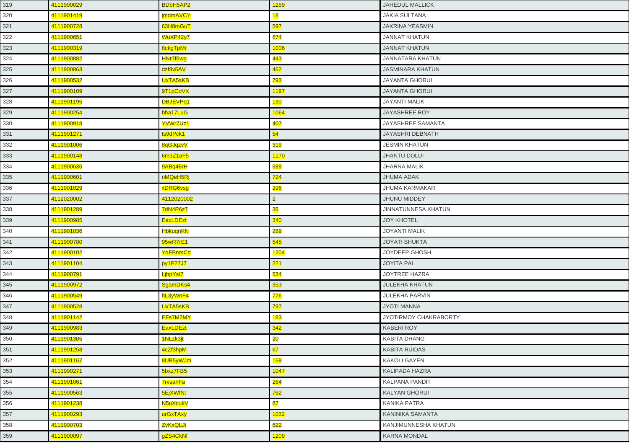| 319 | 4111900029 | BDbH5AP2        | 1259          | <b>JAHEDUL MALLICK</b>  |
|-----|------------|-----------------|---------------|-------------------------|
| 320 | 4111901419 | <i>imdmAVCY</i> | <b>18</b>     | <b>JAKIA SULTANA</b>    |
| 321 | 4111900728 | 63H8mGuT        | 597           | <b>JAKRINA YEASMIN</b>  |
| 322 | 4111900651 | WuXP42y7        | 674           | <b>JANNAT KHATUN</b>    |
| 323 | 4111900319 | 8ckgTpMr        | 1006          | <b>JANNAT KHATUN</b>    |
| 324 | 4111900882 | HNr7f5wg        | 443           | <b>JANNATARA KHATUN</b> |
| 325 | 4111900863 | dzf9v5AV        | 462           | <b>JASMINARA KHATUN</b> |
| 326 | 4111900532 | UxTA5sKB        | 793           | <b>JAYANTA GHORUI</b>   |
| 327 | 4111900109 | 9T1pCdVK        | 1197          | <b>JAYANTA GHORUI</b>   |
| 328 | 4111901195 | DBJEVPq1        | <b>130</b>    | <b>JAYANTI MALIK</b>    |
| 329 | 4111900254 | bha17LuG        | 1064          | <b>JAYASHREE ROY</b>    |
| 330 | 4111900918 | YVWr7Uz1        | 407           | JAYASHREE SAMANTA       |
| 331 | 4111901271 | ts9dPck1        | 54            | <b>JAYASHRI DEBNATH</b> |
| 332 | 4111901006 | 8qGJqzvV        | 319           | <b>JESMIN KHATUN</b>    |
| 333 | 4111900148 | 6m3Z1aF5        | 1170          | <b>JHANTU DOLUI</b>     |
| 334 | 4111900636 | 9ABq48rH        | 689           | <b>JHARNA MALIK</b>     |
| 335 | 4111900601 | nMQeH5Rj        | 724           | <b>JHUMA ADAK</b>       |
| 336 | 4111901029 | xDRG6vsg        | 296           | <b>JHUMA KARMAKAR</b>   |
| 337 | 4112020002 | 4112020002      |               | JHUNU MIDDEY            |
| 338 | 4111901289 | 7dN4P6z7        | 36            | JINNATUNNESA KHATUN     |
| 339 | 4111900985 | <b>EaxLDEzt</b> | 340           | <b>JOY KHOTEL</b>       |
| 340 | 4111901036 | <b>HbkuqnKN</b> | 289           | <b>JOYANTI MALIK</b>    |
| 341 | 4111900780 | 95wR7rE1        | 545           | <b>JOYATI BHUKTA</b>    |
| 342 | 4111900102 | YdFBnmCd        | 1204          | JOYDEEP GHOSH           |
| 343 | 4111901104 | py1P27J7        | 221           | <b>JOYITA PAL</b>       |
| 344 | 4111900791 | LjhpYst7        | 534           | <b>JOYTREE HAZRA</b>    |
| 345 | 4111900972 | SgamDKs4        | 353           | <b>JULEKHA KHATUN</b>   |
| 346 | 4111900549 | hL3yWnF4        | 776           | <b>JULEKHA PARVIN</b>   |
| 347 | 4111900528 | UxTA5sKB        | 797           | <b>JYOTI MANNA</b>      |
| 348 | 4111901142 | EFs7M2MY        | 183           | JYOTIRMOY CHAKRABORTY   |
| 349 | 4111900983 | <b>EaxLDEzt</b> | 342           | <b>KABERI ROY</b>       |
| 350 | 4111901305 | 1NLzk3jt        |               | KABITA DHANG            |
| 351 | 4111901258 | 4cZf3hpM        | 67            | <b>KABITA RUIDAS</b>    |
| 352 | 4111901167 | 8UB5yWJm        | <b>158</b>    | <b>KAKOLI GAYEN</b>     |
| 353 | 4111900271 | 5bxz7FB5        | 1047          | KALIPADA HAZRA          |
| 354 | 4111901061 | 7rvsahFa        | <b>264</b>    | KALPANA PANDIT          |
| 355 | 4111900563 | <b>5EjXWfNt</b> | 762           | <b>KALYAN GHORUI</b>    |
| 356 | 4111901238 | N5uXcukV        | 87            | KANIKA PATRA            |
| 357 | 4111900293 | urGxTAxy        | 1032          | KANINIKA SAMANTA        |
| 358 | 4111900703 | <b>ZvKxQLJt</b> | <b>622</b>    | KANJIMUNNESHA KHATUN    |
| 359 | 4111900097 | gZS4CkNf        | <u> 1209 </u> | KARNA MONDAL            |
|     |            |                 |               |                         |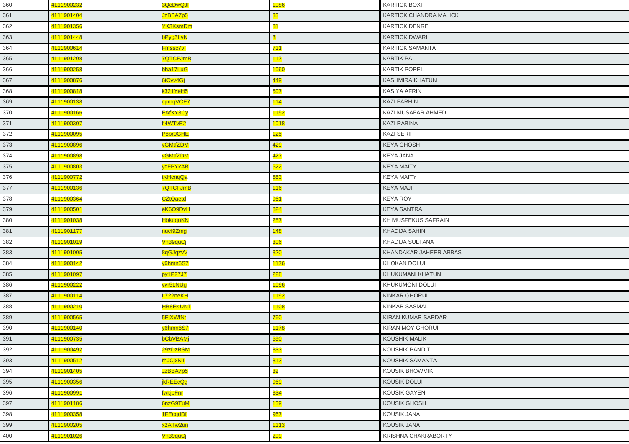| 360 | 4111900232 | 3QcDwQJf        | <b>1086</b> | <b>KARTICK BOXI</b>    |
|-----|------------|-----------------|-------------|------------------------|
| 361 | 4111901404 | JzBBA7p5        | 33          | KARTICK CHANDRA MALICK |
| 362 | 4111901356 | YK3KsmDm        | 81          | <b>KARTICK DENRE</b>   |
| 363 | 4111901448 | bPyg3LvN        | 3           | <b>KARTICK DWARI</b>   |
| 364 | 4111900614 | <b>Fmssc7vf</b> | 711         | <b>KARTICK SAMANTA</b> |
| 365 | 4111901208 | <b>7QTCFJmB</b> | 117         | <b>KARTIK PAL</b>      |
| 366 | 4111900258 | bha17LuG        | 1060        | <b>KARTIK POREL</b>    |
| 367 | 4111900876 | 6tCvv4Gj        | 449         | KASHMIRA KHATUN        |
| 368 | 4111900818 | k321YeH5        | 507         | <b>KASIYA AFRIN</b>    |
| 369 | 4111900138 | cpmqVCE7        | 114         | <b>KAZI FARHIN</b>     |
| 370 | 4111900166 | EAfXY3Cy        | 1152        | KAZI MUSAFAR AHMED     |
| 371 | 4111900307 | fj4WTvE2        | 1018        | <b>KAZI RABINA</b>     |
| 372 | 4111900095 | P6br9GHE        | <u> 125</u> | <b>KAZI SERIF</b>      |
| 373 | 4111900896 | <b>vGMtfZDM</b> | 429         | <b>KEYA GHOSH</b>      |
| 374 | 4111900898 | <b>vGMtfZDM</b> | 427         | KEYA JANA              |
| 375 | 4111900803 | <b>ycFPYkAB</b> | 522         | <b>KEYA MAITY</b>      |
| 376 | 4111900772 | tKHcnqQa        | 553         | <b>KEYA MAITY</b>      |
| 377 | 4111900136 | <b>7QTCFJmB</b> | <b>116</b>  | <b>KEYA MAJI</b>       |
| 378 | 4111900364 | <b>CZtQaetd</b> | 961         | <b>KEYA ROY</b>        |
| 379 | 4111900501 | eK6Q9DvH        | 824         | <b>KEYA SANTRA</b>     |
| 380 | 4111901038 | <b>HbkuqnKN</b> | 287         | KH MUSFEKUS SAFRAIN    |
| 381 | 4111901177 | nucf9Zmg        | 148         | <b>KHADIJA SAHIN</b>   |
| 382 | 4111901019 | Vh39quCj        | 306         | KHADIJA SULTANA        |
| 383 | 4111901005 | 8qGJqzvV        | 320         | KHANDAKAR JAHEER ABBAS |
| 384 | 4111900142 | y6hmn6S7        | 1176        | <b>KHOKAN DOLUI</b>    |
| 385 | 4111901097 | py1P27J7        | 228         | KHUKUMANI KHATUN       |
| 386 | 4111900222 | vvr5LNUg        | 1096        | KHUKUMONI DOLUI        |
| 387 | 4111900114 | L722neKH        | 1192        | <b>KINKAR GHORUI</b>   |
| 388 | 4111900210 | <b>HB8FKUNT</b> | 1108        | <b>KINKAR SASMAL</b>   |
| 389 | 4111900565 | 5EjXWfNt        | 760         | KIRAN KUMAR SARDAR     |
| 390 | 4111900140 | y6hmn6S7        | 1178        | KIRAN MOY GHORUI       |
| 391 | 4111900735 | bCbVBAMj        | 590         | <b>KOUSHIK MALIK</b>   |
| 392 | 4111900492 | 29zDzBSM        | 833         | <b>KOUSHIK PANDIT</b>  |
| 393 | 4111900512 | rhJCjxN1        | 813         | KOUSHIK SAMANTA        |
| 394 | 4111901405 | JzBBA7p5        | 32          | KOUSIK BHOWMIK         |
| 395 | 4111900356 | jkREEcQg        | 969         | KOUSIK DOLUI           |
| 396 | 4111900991 | <u>fwkjpFnr</u> | 334         | <b>KOUSIK GAYEN</b>    |
| 397 | 4111901186 | 6nzG9TuM        | <b>139</b>  | <b>KOUSIK GHOSH</b>    |
| 398 | 4111900358 | 1FEcqdDf        | 967         | KOUSIK JANA            |
| 399 | 4111900205 | x2ATw2un        | <b>1113</b> | KOUSIK JANA            |
| 400 | 4111901026 | Vh39quCj        | <b>299</b>  | KRISHNA CHAKRABORTY    |
|     |            |                 |             |                        |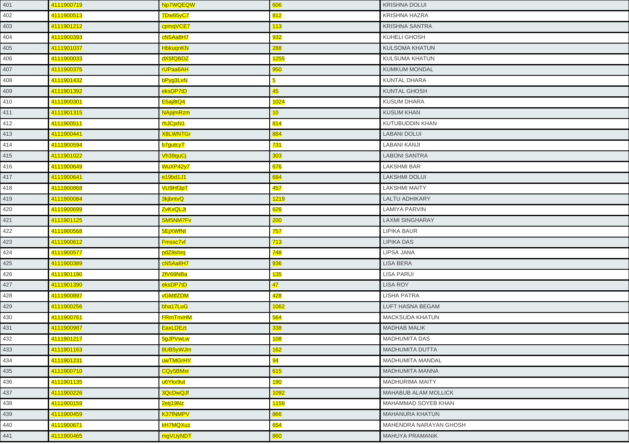| 401 | 4111900719        | Np7WQEQW        | 606              | <b>KRISHNA DOLUI</b>   |
|-----|-------------------|-----------------|------------------|------------------------|
| 402 | 4111900513        | 7Dw65yC7        | 812              | <b>KRISHNA HAZRA</b>   |
| 403 | 4111901212        | cpmqVCE7        | 113              | <b>KRISHNA SANTRA</b>  |
| 404 | 4111900393        | cN5Aa8H7        | 932              | <b>KUHELI GHOSH</b>    |
| 405 | 4111901037        | <b>HbkuqnKN</b> | 288              | <b>KULSOMA KHATUN</b>  |
| 406 | 4111900033        | dX5fQBDZ        | 1255             | KULSUMA KHATUN         |
| 407 | 4111900375        | rUPaa6AH        | 950              | <b>KUMKUM MONDAL</b>   |
| 408 | 4111901432        | bPyg3LvN        |                  | <b>KUNTAL DHARA</b>    |
| 409 | 4111901392        | eksDP7tD        | 45               | <b>KUNTAL GHOSH</b>    |
| 410 | 4111900301        | E5aj8tQ4        | <u> 1024</u>     | <b>KUSUM DHARA</b>     |
| 411 | 4111901315        | <b>NApjmRzm</b> | 10               | <b>KUSUM KHAN</b>      |
| 412 | 4111900511        | rhJCjxN1        | 814              | KUTUBUDDIN KHAN        |
| 413 | 4111900441        | <b>X8LWNTGr</b> | 884              | <b>LABANI DOLUI</b>    |
| 414 | 4111900594        | b7gutcyT        | 731              | <b>LABANI KANJI</b>    |
| 415 | 4111901022        | Vh39quCj        | 303              | <b>LABONI SANTRA</b>   |
| 416 | 4111900649        | WuXP42y7        | 676              | <b>LAKSHMI BAR</b>     |
| 417 | 4111900641        | e19bd1J1        | 684              | <b>LAKSHMI DOLUI</b>   |
| 418 | 4111900868        | VU9Hf3pT        | 457              | <b>LAKSHMI MAITY</b>   |
| 419 | 4111900084        | 3kjbntvQ        | 1219             | <b>LALTU ADHIKARY</b>  |
| 420 | 4111900699        | <b>ZvKxQLJt</b> | 626              | <b>LAMIYA PARVIN</b>   |
| 421 | 4111901125        | <b>SM5NM7Fv</b> | 200              | <b>LAXMI SINGHARAY</b> |
| 422 | 4111900568        | 5EjXWfNt        | 757              | <b>LIPIKA BAUR</b>     |
| 423 | 4111900612        | <b>Fmssc7vf</b> | 713              | <b>LIPIKA DAS</b>      |
| 424 | 4111900577        | pdZ8shrq        | <mark>748</mark> | LIPSA JANA             |
| 425 | 4111900389        | cN5Aa8H7        | 936              | <b>LISA BERA</b>       |
| 426 | 4111901190        | 2fV69NBa        | 135              | <b>LISA PARUI</b>      |
| 427 | 4111901390        | eksDP7tD        | 47               | <b>LISA ROY</b>        |
| 428 | 4111900897        | <b>vGMtfZDM</b> | 428              | <b>LISHA PATRA</b>     |
| 429 | 4111900256        | bha17LuG        | 1062             | LUFT HASNA BEGAM       |
| 430 | 4111900761        | <b>FRmTnvHM</b> | 564              | MACKSUDA KHATUN        |
| 431 | 4111900987        | <b>EaxLDEzt</b> | 338              | <b>MADHAB MALIK</b>    |
| 432 | <u>4111901217</u> | 5gJPVwLw        | <u> 108</u>      | MADHUMITA DAS          |
| 433 | 4111901163        | 8UB5yWJm        | 162              | MADHUMITA DUTTA        |
| 434 | 4111901231        | <b>uwTMGrHY</b> | 94               | MADHUMITA MANDAL       |
| 435 | 4111900710        | CQy5BMxr        | 615              | MADHUMITA MANNA        |
| 436 | 4111901135        | u6Ykx9ut        | <b>190</b>       | MADHURIMA MAITY        |
| 437 | 4111900226        | 3QcDwQJf        | 1092             | MAHABUB ALAM MOLLICK   |
| 438 | 4111900159        | 2etj19Nz        | 1159             | MAHAMMAD SOYEB KHAN    |
| 439 | 4111900459        | <b>K37fNMPV</b> | 866              | <b>MAHANURA KHATUN</b> |
| 440 | 4111900671        | kH7MQXuz        | <mark>654</mark> | MAHENDRA NARAYAN GHOSH |
| 441 | 4111900465        | mgVUyNDT        | 860              | MAHUYA PRAMANIK        |
|     |                   |                 |                  |                        |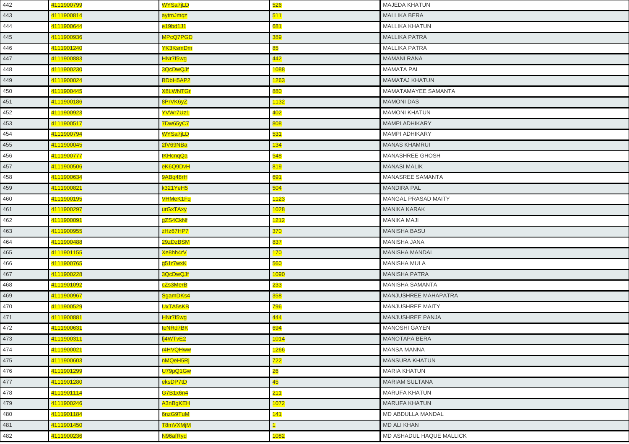| 442 | 4111900799 | <u>WYSa7jLD</u>      | <mark>526</mark> | <b>MAJEDA KHATUN</b>     |
|-----|------------|----------------------|------------------|--------------------------|
| 443 | 4111900814 | aytmJmqz             | 511              | <b>MALLIKA BERA</b>      |
| 444 | 4111900644 | e19bd1J1             | <b>681</b>       | <b>MALLIKA KHATUN</b>    |
| 445 | 4111900936 | MP <sub>cQ7PGD</sub> | 389              | <b>MALLIKA PATRA</b>     |
| 446 | 4111901240 | YK3KsmDm             | 85               | <b>MALLIKA PATRA</b>     |
| 447 | 4111900883 | HNr7f5wg             | 442              | <b>MAMANI RANA</b>       |
| 448 | 4111900230 | 3QcDwQJf             | 1088             | <b>MAMATA PAL</b>        |
| 449 | 4111900024 | BDbH5AP2             | 1263             | <b>MAMATAJ KHATUN</b>    |
| 450 | 4111900445 | <b>X8LWNTGr</b>      | 880              | MAMATAMAYEE SAMANTA      |
| 451 | 4111900186 | 8PrVK6yZ             | 1132             | <b>MAMONI DAS</b>        |
| 452 | 4111900923 | YVWr7Uz1             | 402              | <b>MAMONI KHATUN</b>     |
| 453 | 4111900517 | 7Dw65yC7             | 808              | <b>MAMPI ADHIKARY</b>    |
| 454 | 4111900794 | WYSa7jLD             | 531              | <b>MAMPI ADHIKARY</b>    |
| 455 | 4111900045 | 2fV69NBa             | 134              | <b>MANAS KHAMRUI</b>     |
| 456 | 4111900777 | tKHcnqQa             | 548              | MANASHREE GHOSH          |
| 457 | 4111900506 | eK6Q9DvH             | 819              | <b>MANASI MALIK</b>      |
| 458 | 4111900634 | 9ABq48rH             | 691              | MANASREE SAMANTA         |
| 459 | 4111900821 | k321YeH5             | 504              | <b>MANDIRA PAL</b>       |
| 460 | 4111900195 | <b>VHMeK1Fq</b>      | 1123             | MANGAL PRASAD MAITY      |
| 461 | 4111900297 | urGxTAxy             | 1028             | <b>MANIKA KARAK</b>      |
| 462 | 4111900091 | gZS4CkNf             | 1212             | <b>MANIKA MAJI</b>       |
| 463 | 4111900955 | zHz67HP7             | 370              | <b>MANISHA BASU</b>      |
| 464 | 4111900488 | 29zDzBSM             | 837              | <b>MANISHA JANA</b>      |
| 465 | 4111901155 | Xe8hh4rV             | 170              | <b>MANISHA MANDAL</b>    |
| 466 | 4111900765 | g51r7wxK             | 560              | <b>MANISHA MULA</b>      |
| 467 | 4111900228 | <b>3QcDwQJf</b>      | 1090             | <b>MANISHA PATRA</b>     |
| 468 | 4111901092 | cZs3MerB             | 233              | MANISHA SAMANTA          |
| 469 | 4111900967 | SgamDKs4             | 358              | MANJUSHREE MAHAPATRA     |
| 470 | 4111900529 | UxTA5sKB             | 796              | MANJUSHREE MAITY         |
| 471 | 4111900881 | HNr7f5wg             | 444              | <b>MANJUSHREE PANJA</b>  |
| 472 | 4111900631 | teNRd7BK             | 694              | <b>MANOSHI GAYEN</b>     |
| 473 | 4111900311 | fj4WTvE2             | 1014             | MANOTAPA BERA            |
| 474 | 4111900021 | r4HVQHww             | <b>1266</b>      | <b>MANSA MANNA</b>       |
| 475 | 4111900603 | nMQeH5Rj             | 722              | MANSURA KHATUN           |
| 476 | 4111901299 | U79pQ1Gw             | 26               | <b>MARIA KHATUN</b>      |
| 477 | 4111901280 | eksDP7tD             | 45               | <b>MARIAM SULTANA</b>    |
| 478 | 4111901114 | G7B1x6n4             | <u> 211</u>      | <b>MARUFA KHATUN</b>     |
| 479 | 4111900246 | <b>A3nBgKEH</b>      | 1072             | <b>MARUFA KHATUN</b>     |
| 480 | 4111901184 | 6nzG9TuM             | <u> 141</u>      | MD ABDULLA MANDAL        |
| 481 | 4111901450 | T8mVXMjM             |                  | <b>MD ALI KHAN</b>       |
| 482 | 4111900236 | N96afRyd             | 1082             | MD ASHADUL HAQUE MALLICK |
|     |            |                      |                  |                          |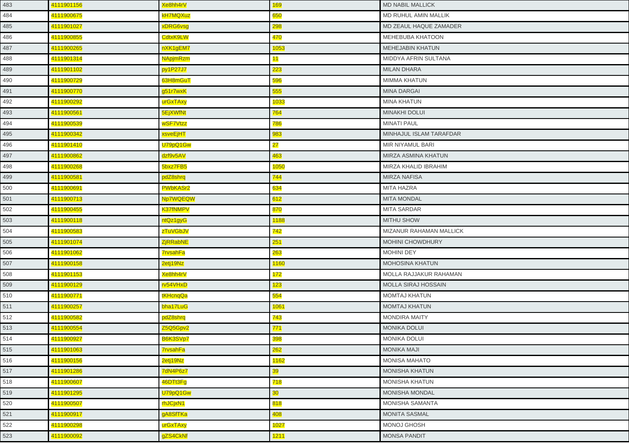| 483 | 4111901156        | <b>Xe8hh4rV</b> | <b>169</b>      | <b>MD NABIL MALLICK</b> |
|-----|-------------------|-----------------|-----------------|-------------------------|
| 484 | 4111900675        | kH7MQXuz        | 650             | MD RUHUL AMIN MALLIK    |
| 485 | 4111901027        | xDRG6vsg        | 298             | MD ZEAUL HAQUE ZAMADER  |
| 486 | 4111900855        | CdtxK9LW        | 470             | <b>MEHEBUBA KHATOON</b> |
| 487 | 4111900265        | nXK1gEM7        | 1053            | <b>MEHEJABIN KHATUN</b> |
| 488 | 4111901314        | <b>NApjmRzm</b> | 11              | MIDDYA AFRIN SULTANA    |
| 489 | 4111901102        | py1P27J7        | 223             | <b>MILAN DHARA</b>      |
| 490 | 4111900729        | 63H8mGuT        | 596             | <b>MIMMA KHATUN</b>     |
| 491 | 4111900770        | g51r7wxK        | 555             | <b>MINA DARGAI</b>      |
| 492 | 4111900292        | urGxTAxy        | 1033            | <b>MINA KHATUN</b>      |
| 493 | 4111900561        | 5EjXWfNt        | 764             | <b>MINAKHI DOLUI</b>    |
| 494 | 4111900539        | wSF7Vtzz        | 786             | <b>MINATI PAUL</b>      |
| 495 | 4111900342        | xsveEjHT        | 983             | MINHAJUL ISLAM TARAFDAR |
| 496 | 4111901410        | U79pQ1Gw        | 27              | MIR NIYAMUL BARI        |
| 497 | 4111900862        | dzf9v5AV        | 463             | MIRZA ASMINA KHATUN     |
| 498 | 4111900268        | 5bxz7FB5        | 1050            | MIRZA KHALID IBRAHIM    |
| 499 | 4111900581        | pdZ8shrq        | 744             | <b>MIRZA NAFISA</b>     |
| 500 | 4111900691        | <b>PWbKASr2</b> | 634             | MITA HAZRA              |
| 501 | 4111900713        | Np7WQEQW        | 612             | <b>MITA MONDAL</b>      |
| 502 | 4111900455        | K37fNMPV        | 870             | <b>MITA SARDAR</b>      |
| 503 | 4111900118        | ntQz1gyG        | 1188            | MITHU SHOW              |
| 504 | 4111900583        | zTuVGbJV        | 742             | MIZANUR RAHAMAN MALLICK |
| 505 | 4111901074        | <b>ZjRRabNE</b> | 251             | MOHINI CHOWDHURY        |
| 506 | 4111901062        | <b>7rvsahFa</b> | 263             | <b>MOHINI DEY</b>       |
| 507 | 4111900158        | 2etj19Nz        | 1160            | <b>MOHOSINA KHATUN</b>  |
| 508 | 4111901153        | Xe8hh4rV        | 172             | MOLLA RAJJAKUR RAHAMAN  |
| 509 | 4111900129        | rv54VHxD        | 123             | MOLLA SIRAJ HOSSAIN     |
| 510 | 4111900771        | tKHcnqQa        | 554             | <b>MOMTAJ KHATUN</b>    |
| 511 | 4111900257        | bha17LuG        | 1061            | <b>MOMTAJ KHATUN</b>    |
| 512 | 4111900582        | pdZ8shrq        | 743             | <b>MONDIRA MAITY</b>    |
| 513 | 4111900554        | Z5Q5Gpv2        | 771             | <b>MONIKA DOLUI</b>     |
| 514 | <u>4111900927</u> | B6K3SVp7        | 398             | <b>MONIKA DOLUI</b>     |
| 515 | 4111901063        | <b>7rvsahFa</b> | 262             | <b>MONIKA MAJI</b>      |
| 516 | 4111900156        | 2etj19Nz        | <b>1162</b>     | <b>MONISA MAHATO</b>    |
| 517 | 4111901286        | 7dN4P6z7        | 39              | MONISHA KHATUN          |
| 518 | 4111900607        | 46DTt3Fg        | 718             | MONISHA KHATUN          |
| 519 | 4111901295        | U79pQ1Gw        | 30 <sub>o</sub> | MONISHA MONDAL          |
| 520 | 4111900507        | rhJCjxN1        | 818             | MONISHA SAMANTA         |
| 521 | 4111900917        | gA8SfTKa        | 408             | <b>MONITA SASMAL</b>    |
| 522 | 4111900298        | urGxTAxy        | 1027            | MONOJ GHOSH             |
| 523 | 4111900092        | gZS4CkNf        | 1211            | MONSA PANDIT            |
|     |                   |                 |                 |                         |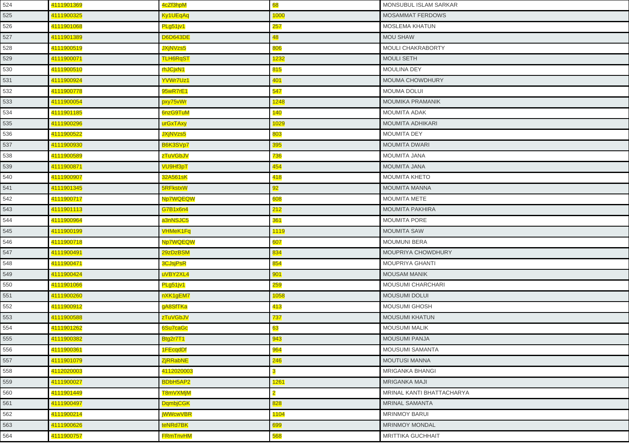| 524 | 4111901369        | 4cZf3hpM        | 68               | MONSUBUL ISLAM SARKAR     |
|-----|-------------------|-----------------|------------------|---------------------------|
| 525 | 4111900325        | Ky1UEqAq        | 1000             | MOSAMMAT FERDOWS          |
| 526 | 4111901068        | PLg51jv1        | <b>257</b>       | <b>MOSLEMA KHATUN</b>     |
| 527 | 4111901389        | <b>D6D643DE</b> | 48               | <b>MOU SHAW</b>           |
| 528 | 4111900519        | JXjNVzs5        | 806              | MOULI CHAKRABORTY         |
| 529 | 4111900071        | <b>TLH6RqST</b> | <u> 1232 </u>    | <b>MOULI SETH</b>         |
| 530 | 4111900510        | rhJCjxN1        | <mark>815</mark> | <b>MOULINA DEY</b>        |
| 531 | 4111900924        | YVWr7Uz1        | 401              | MOUMA CHOWDHURY           |
| 532 | 4111900778        | 95wR7rE1        | 547              | <b>MOUMA DOLUI</b>        |
| 533 | 4111900054        | pxy75vWr        | 1248             | <b>MOUMIKA PRAMANIK</b>   |
| 534 | 4111901185        | 6nzG9TuM        | <b>140</b>       | <b>MOUMITA ADAK</b>       |
| 535 | 4111900296        | urGxTAxy        | 1029             | MOUMITA ADHIKARI          |
| 536 | 4111900522        | JXjNVzs5        | 803              | MOUMITA DEY               |
| 537 | 4111900930        | B6K3SVp7        | 395              | <b>MOUMITA DWARI</b>      |
| 538 | 4111900589        | zTuVGbJV        | 736              | MOUMITA JANA              |
| 539 | 4111900871        | VU9Hf3pT        | 454              | <b>MOUMITA JANA</b>       |
| 540 | 4111900907        | 32A561sK        | 418              | MOUMITA KHETO             |
| 541 | 4111901345        | <b>5RFkstxW</b> | 92               | <b>MOUMITA MANNA</b>      |
| 542 | 4111900717        | Np7WQEQW        | 608              | MOUMITA METE              |
| 543 | 4111901113        | G7B1x6n4        | 212              | <b>MOUMITA PAKHIRA</b>    |
| 544 | 4111900964        | a3nNSJC5        | 361              | <b>MOUMITA PORE</b>       |
| 545 | 4111900199        | <b>VHMeK1Fq</b> | 1119             | <b>MOUMITA SAW</b>        |
| 546 | 4111900718        | Np7WQEQW        | 607              | <b>MOUMUNI BERA</b>       |
| 547 | 4111900491        | 29zDzBSM        | 834              | MOUPRIYA CHOWDHURY        |
| 548 | 4111900471        | 3CJsjPsR        | 854              | <b>MOUPRIYA GHANTI</b>    |
| 549 | 4111900424        | uVBY2XL4        | 901              | <b>MOUSAM MANIK</b>       |
| 550 | 4111901066        | PLg51jv1        | 259              | MOUSUMI CHARCHARI         |
| 551 | 4111900260        | nXK1gEM7        | 1058             | MOUSUMI DOLUI             |
| 552 | 4111900912        | gA8SfTKa        | <u>413</u>       | MOUSUMI GHOSH             |
| 553 | 4111900588        | zTuVGbJV        | 737              | <b>MOUSUMI KHATUN</b>     |
| 554 | 4111901262        | 6Su7caGc        | 63               | <b>MOUSUMI MALIK</b>      |
| 555 | <u>4111900382</u> | Btg2r7T1        | 943              | MOUSUMI PANJA             |
| 556 | 4111900361        | 1FEcqdDf        | 964              | <b>MOUSUMI SAMANTA</b>    |
| 557 | 4111901079        | ZjRRabNE        | 246              | MOUTUSI MANNA             |
| 558 | 4112020003        | 4112020003      | R                | MRIGANKA BHANGI           |
| 559 | 4111900027        | BDbH5AP2        | 1261             | <b>MRIGANKA MAJI</b>      |
| 560 | 4111901449        | T8mVXMjM        |                  | MRINAL KANTI BHATTACHARYA |
| 561 | 4111900497        | <b>DqmbjCGK</b> | 828              | <b>MRINAL SAMANTA</b>     |
| 562 | 4111900214        | <b>jWWcwVBR</b> | <b>1104</b>      | <b>MRINMOY BARUI</b>      |
| 563 | 4111900626        | teNRd7BK        | 699              | MRINMOY MONDAL            |
| 564 | 4111900757        | <b>FRmTnvHM</b> | 568              | <b>MRITTIKA GUCHHAIT</b>  |
|     |                   |                 |                  |                           |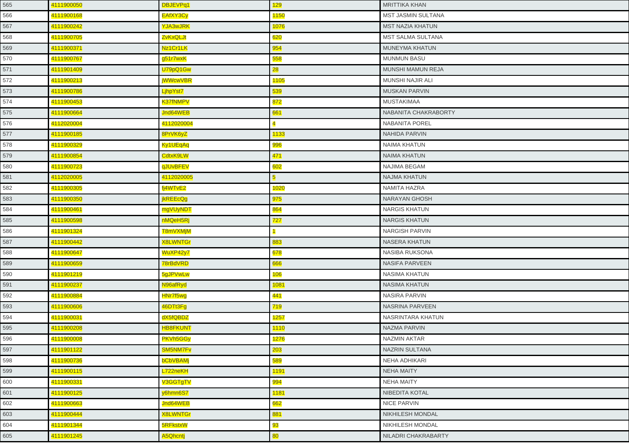| 565 | 4111900050        | DBJEVPq1        | 129              | <b>MRITTIKA KHAN</b>    |
|-----|-------------------|-----------------|------------------|-------------------------|
| 566 | 4111900168        | EAfXY3Cy        | 1150             | MST JASMIN SULTANA      |
| 567 | 4111900242        | YJA3wJRK        | 1076             | <b>MST NAZIA KHATUN</b> |
| 568 | 4111900705        | <b>ZvKxQLJt</b> | 620              | MST SALMA SULTANA       |
| 569 | 4111900371        | Nz1Cr1LK        | 954              | <b>MUNEYMA KHATUN</b>   |
| 570 | 4111900767        | g51r7wxK        | 558              | <b>MUNMUN BASU</b>      |
| 571 | 4111901409        | U79pQ1Gw        | 28               | MUNSHI MAMUN REJA       |
| 572 | 4111900213        | jWWcwVBR        | 1105             | MUNSHI NAJIR ALI        |
| 573 | 4111900786        | LjhpYst7        | 539              | <b>MUSKAN PARVIN</b>    |
| 574 | 4111900453        | K37fNMPV        | 872              | MUSTAKIMAA              |
| 575 | 4111900664        | Jnd64WEB        | 661              | NABANITA CHAKRABORTY    |
| 576 | 4112020004        | 4112020004      |                  | <b>NABANITA POREL</b>   |
| 577 | 4111900185        | 8PrVK6yZ        | 1133             | <b>NAHIDA PARVIN</b>    |
| 578 | 4111900329        | Ky1UEqAq        | 996              | <b>NAIMA KHATUN</b>     |
| 579 | 4111900854        | CdtxK9LW        | 471              | NAIMA KHATUN            |
| 580 | 4111900723        | qJUvBFEV        | 602              | <b>NAJIMA BEGAM</b>     |
| 581 | 4112020005        | 4112020005      |                  | <b>NAJMA KHATUN</b>     |
| 582 | 4111900305        | fj4WTvE2        | 1020             | NAMITA HAZRA            |
| 583 | 4111900350        | jkREEcQg        | 975              | NARAYAN GHOSH           |
| 584 | 4111900461        | mgVUyNDT        | 864              | <b>NARGIS KHATUN</b>    |
| 585 | 4111900598        | nMQeH5Rj        | 727              | <b>NARGIS KHATUN</b>    |
| 586 | 4111901324        | T8mVXMjM        |                  | NARGISH PARVIN          |
| 587 | 4111900442        | <b>X8LWNTGr</b> | 883              | <b>NASERA KHATUN</b>    |
| 588 | 4111900647        | WuXP42y7        | 678              | NASIBA RUKSONA          |
| 589 | 4111900659        | 78rBdVRD        | 666              | <b>NASIFA PARVEEN</b>   |
| 590 | 4111901219        | 5gJPVwLw        | 106              | <b>NASIMA KHATUN</b>    |
| 591 | 4111900237        | N96afRyd        | 1081             | <b>NASIMA KHATUN</b>    |
| 592 | 4111900884        | HNr7f5wg        | 441              | <b>NASIRA PARVIN</b>    |
| 593 | 4111900606        | 46DTt3Fg        | 719              | NASRINA PARVEEN         |
| 594 | 4111900031        | dX5fQBDZ        | 1257             | NASRINTARA KHATUN       |
| 595 | 4111900208        | <b>HB8FKUNT</b> | 1110             | <b>NAZMA PARVIN</b>     |
| 596 | <u>4111900008</u> | <b>PKVh5GGy</b> | <u> 1276</u>     | NAZMIN AKTAR            |
| 597 | 4111901122        | SM5NM7Fv        | 203              | NAZRIN SULTANA          |
| 598 | 4111900736        | bCbVBAMj        | <mark>589</mark> | NEHA ADHIKARI           |
| 599 | 4111900115        | L722neKH        | 1191             | <b>NEHA MAITY</b>       |
| 600 | 4111900331        | V3GGTgTV        | <b>994</b>       | <b>NEHA MAITY</b>       |
| 601 | 4111900125        | y6hmn6S7        | 1181             | NIBEDITA KOTAL          |
| 602 | 4111900663        | Jnd64WEB        | 662              | <b>NICE PARVIN</b>      |
| 603 | 4111900444        | <b>X8LWNTGr</b> | 881              | NIKHILESH MONDAL        |
| 604 | 4111901344        | <b>5RFkstxW</b> | 93               | NIKHILESH MONDAL        |
| 605 | 4111901245        | <b>A5Qhcntj</b> | 80               | NILADRI CHAKRABARTY     |
|     |                   |                 |                  |                         |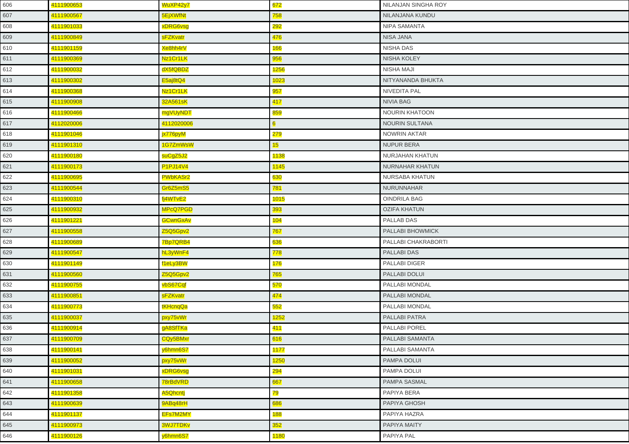| 606 | 4111900653 | WuXP42y7        | 672              | NILANJAN SINGHA ROY   |
|-----|------------|-----------------|------------------|-----------------------|
| 607 | 4111900567 | 5EjXWfNt        | 758              | NILANJANA KUNDU       |
| 608 | 4111901033 | xDRG6vsg        | <b>292</b>       | <b>NIPA SAMANTA</b>   |
| 609 | 4111900849 | <b>sFZKvatr</b> | 476              | NISA JANA             |
| 610 | 4111901159 | Xe8hh4rV        | <b>166</b>       | NISHA DAS             |
| 611 | 4111900369 | Nz1Cr1LK        | 956              | NISHA KOLEY           |
| 612 | 4111900032 | dX5fQBDZ        | <b>1256</b>      | <b>NISHA MAJI</b>     |
| 613 | 4111900302 | E5aj8tQ4        | 1023             | NITYANANDA BHUKTA     |
| 614 | 4111900368 | Nz1Cr1LK        | 957              | NIVEDITA PAL          |
| 615 | 4111900908 | 32A561sK        | 417              | <b>NIVIA BAG</b>      |
| 616 | 4111900466 | mgVUyNDT        | 859              | NOURIN KHATOON        |
| 617 | 4112020006 | 4112020006      |                  | <b>NOURIN SULTANA</b> |
| 618 | 4111901046 | jx776pyM        | 279              | NOWRIN AKTAR          |
| 619 | 4111901310 | 1G7ZmWsW        | 15               | <b>NUPUR BERA</b>     |
| 620 | 4111900180 | suCgZ5J2        | <b>1138</b>      | NURJAHAN KHATUN       |
| 621 | 4111900173 | P1PJ14V4        | 1145             | NURNAHAR KHATUN       |
| 622 | 4111900695 | <b>PWbKASr2</b> | 630              | NURSABA KHATUN        |
| 623 | 4111900544 | Gr6Z5mS5        | 781              | NURUNNAHAR            |
| 624 | 4111900310 | fj4WTvE2        | 1015             | OINDRILA BAG          |
| 625 | 4111900932 | <b>MPcQ7PGD</b> | 393              | <b>OZIFA KHATUN</b>   |
| 626 | 4111901221 | <b>GCwnGxAv</b> | 104              | PALLAB DAS            |
| 627 | 4111900558 | Z5Q5Gpv2        | 767              | PALLABI BHOWMICK      |
| 628 | 4111900689 | 7Bp7QRB4        | 636              | PALLABI CHAKRABORTI   |
| 629 | 4111900547 | hL3yWnF4        | 778              | <b>PALLABI DAS</b>    |
| 630 | 4111901149 | f1eLy3BW        | <b>176</b>       | PALLABI DIGER         |
| 631 | 4111900560 | Z5Q5Gpv2        | 765              | PALLABI DOLUI         |
| 632 | 4111900755 | vbS67Cqf        | 570              | PALLABI MONDAL        |
| 633 | 4111900851 | sFZKvatr        | 474              | PALLABI MONDAL        |
| 634 | 4111900773 | tKHcnqQa        | 552              | PALLABI MONDAL        |
| 635 | 4111900037 | pxy75vWr        | 1252             | PALLABI PATRA         |
| 636 | 4111900914 | gA8SfTKa        | 411              | PALLABI POREL         |
| 637 | 4111900709 | CQy5BMxr        | 616              | PALLABI SAMANTA       |
| 638 | 4111900141 | y6hmn6S7        | <b>1177</b>      | PALLABI SAMANTA       |
| 639 | 4111900052 | pxy75vWr        | 1250             | PAMPA DOLUI           |
| 640 | 4111901031 | xDRG6vsg        | <b>294</b>       | PAMPA DOLUI           |
| 641 | 4111900658 | 78rBdVRD        | 667              | <b>PAMPA SASMAL</b>   |
| 642 | 4111901358 | A5Qhcntj        | 79               | PAPIYA BERA           |
| 643 | 4111900639 | 9ABq48rH        | 686              | PAPIYA GHOSH          |
| 644 | 4111901137 | EFs7M2MY        | <mark>188</mark> | PAPIYA HAZRA          |
| 645 | 4111900973 | 3WJ7TDKv        | 352              | PAPIYA MAITY          |
| 646 | 4111900126 | y6hmn6S7        | <b>1180</b>      | PAPIYA PAL            |
|     |            |                 |                  |                       |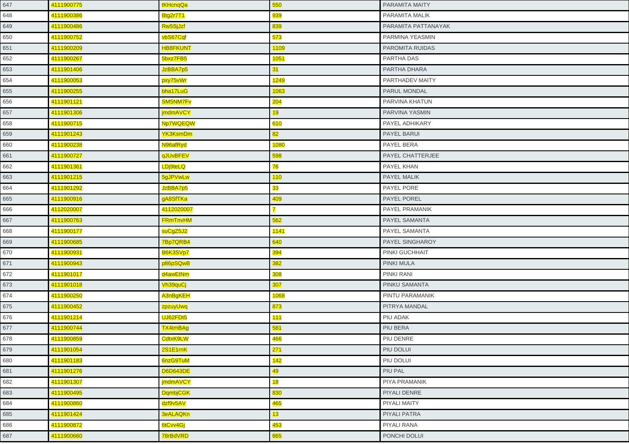| 647 | 4111900775 | tKHcnqQa        | 550              | PARAMITA MAITY        |
|-----|------------|-----------------|------------------|-----------------------|
| 648 | 4111900386 | Btg2r7T1        | 939              | PARAMITA MALIK        |
| 649 | 4111900486 | Rw5SjJzf        | 839              | PARAMITA PATTANAYAK   |
| 650 | 4111900752 | vbS67Cqf        | 573              | PARMINA YEASMIN       |
| 651 | 4111900209 | <b>HB8FKUNT</b> | 1109             | PAROMITA RUIDAS       |
| 652 | 4111900267 | 5bxz7FB5        | 1051             | PARTHA DAS            |
| 653 | 4111901406 | JzBBA7p5        | 31               | PARTHA DHARA          |
| 654 | 4111900053 | pxy75vWr        | 1249             | PARTHADEV MAITY       |
| 655 | 4111900255 | bha17LuG        | 1063             | <b>PARUL MONDAL</b>   |
| 656 | 4111901121 | SM5NM7Fv        | 204              | PARVINA KHATUN        |
| 657 | 4111901306 | <b>jmdmAVCY</b> | 19               | PARVINA YASMIN        |
| 658 | 4111900715 | Np7WQEQW        | 610              | <b>PAYEL ADHIKARY</b> |
| 659 | 4111901243 | YK3KsmDm        | 82               | PAYEL BARUI           |
| 660 | 4111900238 | N96afRyd        | 1080             | PAYEL BERA            |
| 661 | 4111900727 | qJUvBFEV        | 598              | PAYEL CHATTERJEE      |
| 662 | 4111901361 | LDj9teLQ        | 76               | PAYEL KHAN            |
| 663 | 4111901215 | 5gJPVwLw        | 110              | PAYEL MALIK           |
| 664 | 4111901292 | JzBBA7p5        | 33               | PAYEL PORE            |
| 665 | 4111900916 | gA8SfTKa        | 409              | <b>PAYEL POREL</b>    |
| 666 | 4112020007 | 4112020007      | $\overline{7}$   | PAYEL PRAMANIK        |
| 667 | 4111900763 | <b>FRmTnvHM</b> | 562              | PAYEL SAMANTA         |
| 668 | 4111900177 | suCgZ5J2        | 1141             | PAYEL SAMANTA         |
| 669 | 4111900685 | 7Bp7QRB4        | 640              | PAYEL SINGHAROY       |
| 670 | 4111900931 | B6K3SVp7        | <mark>394</mark> | PINKI GUCHHAIT        |
| 671 | 4111900943 | p86pSQwB        | 382              | PINKI MULA            |
| 672 | 4111901017 | d4awEtNm        | 308              | PINKI RANI            |
| 673 | 4111901018 | Vh39quCj        | 307              | PINKU SAMANTA         |
| 674 | 4111900250 | A3nBgKEH        | 1068             | PINTU PARAMANIK       |
| 675 | 4111900452 | zpzuyUwq        | 873              | PITRYA MANDAL         |
| 676 | 4111901214 | UJ62FDt5        | 111              | PIU ADAK              |
| 677 | 4111900744 | <b>TX4tmBAg</b> | 581              | PIU BERA              |
| 678 | 4111900859 | CdtxK9LW        | 466              | PIU DENRE             |
| 679 | 4111901054 | 2S1E1mK         | 271              | PIU DOLUI             |
| 680 | 4111901183 | 6nzG9TuM        | <b>142</b>       | PIU DOLUI             |
| 681 | 4111901276 | <b>D6D643DE</b> | 49               | PIU PAL               |
| 682 | 4111901307 | jmdmAVCY        | 18               | <b>PIYA PRAMANIK</b>  |
| 683 | 4111900495 | <b>DqmbjCGK</b> | 830              | PIYALI DENRE          |
| 684 | 4111900860 | dzf9v5AV        | 465              | PIYALI MAITY          |
| 685 | 4111901424 | <b>3eALAQKn</b> | 13               | PIYALI PATRA          |
| 686 | 4111900872 | 6tCvv4Gj        | 453              | PIYALI RANA           |
| 687 | 4111900660 | 78rBdVRD        | 665              | PONCHI DOLUI          |
|     |            |                 |                  |                       |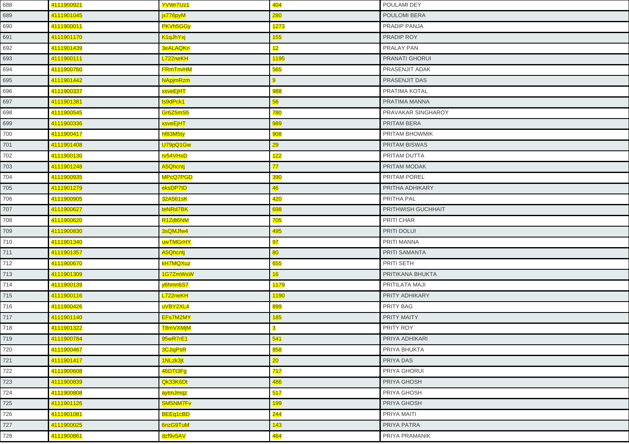| 688 | 4111900921 | YVWr7Uz1              | 404         | POULAMI DEY               |
|-----|------------|-----------------------|-------------|---------------------------|
| 689 | 4111901045 | jx776pyM              | 280         | POULOMI BERA              |
| 690 | 4111900011 | <b>PKVh5GGy</b>       | 1273        | PRADIP PANJA              |
| 691 | 4111901170 | K <sub>1q</sub> JhYxj | 155         | <b>PRADIP ROY</b>         |
| 692 | 4111901439 | 3eALAQKn              | <u> 12</u>  | PRALAY PAN                |
| 693 | 4111900111 | L722neKH              | 1195        | <b>PRANATI GHORUI</b>     |
| 694 | 4111900760 | <b>FRmTnvHM</b>       | 565         | PRASENJIT ADAK            |
| 695 | 4111901442 | <b>NApjmRzm</b>       |             | <b>PRASENJIT DAS</b>      |
| 696 | 4111900337 | <u>xsveEjHT</u>       | 988         | PRATIMA KOTAL             |
| 697 | 4111901381 | ts9dPck1              | 56          | PRATIMA MANNA             |
| 698 | 4111900545 | Gr6Z5mS5              | 780         | PRAVAKAR SINGHAROY        |
| 699 | 4111900336 | <b>xsveEjHT</b>       | 989         | PRITAM BERA               |
| 700 | 4111900417 | hf83M5ty              | 908         | PRITAM BHOWMIK            |
| 701 | 4111901408 | U79pQ1Gw              | 29          | <b>PRITAM BISWAS</b>      |
| 702 | 4111900130 | rv54VHxD              | <u> 122</u> | PRITAM DUTTA              |
| 703 | 4111901248 | <b>A5Qhcntj</b>       | 77          | PRITAM MODAK              |
| 704 | 4111900935 | <b>MPcQ7PGD</b>       | 390         | PRITAM POREL              |
| 705 | 4111901279 | eksDP7tD              | 46          | PRITHA ADHIKARY           |
| 706 | 4111900905 | 32A561sK              | 420         | <b>PRITHA PAL</b>         |
| 707 | 4111900627 | teNRd7BK              | 698         | <b>PRITHWISH GUCHHAIT</b> |
| 708 | 4111900620 | R1Zdt6NM              | 705         | PRITI CHAR                |
| 709 | 4111900830 | 3sQMJfw4              | 495         | <b>PRITI DOLUI</b>        |
| 710 | 4111901340 | uwTMGrHY              | 97          | PRITI MANNA               |
| 711 | 4111901357 | <b>A5Qhcntj</b>       | 80          | <b>PRITI SAMANTA</b>      |
| 712 | 4111900670 | kH7MQXuz              | 655         | PRITI SETH                |
| 713 | 4111901309 | 1G7ZmWsW              | 16          | PRITIKANA BHUKTA          |
| 714 | 4111900139 | y6hmn6S7              | 1179        | PRITILATA MAJI            |
| 715 | 4111900116 | L722neKH              | 1190        | PRITY ADHIKARY            |
| 716 | 4111900426 | uVBY2XL4              | 899         | PRITY BAG                 |
| 717 | 4111901140 | EFs7M2MY              | <b>185</b>  | <b>PRITY MAITY</b>        |
| 718 | 4111901322 | T8mVXMjM              |             | <b>PRITY ROY</b>          |
| 719 | 4111900784 | 95wR7rE1              | 541         | PRIYA ADHIKARI            |
| 720 | 4111900467 | <b>3CJsjPsR</b>       | 858         | PRIYA BHUKTA              |
| 721 | 4111901417 | 1NLzk3jt              | 20          | <b>PRIYA DAS</b>          |
| 722 | 4111900608 | 46DTt3Fg              | 717         | PRIYA GHORUI              |
| 723 | 4111900839 | Qk33K6Dt              | 486         | <b>PRIYA GHOSH</b>        |
| 724 | 4111900808 | aytmJmqz              | 517         | PRIYA GHOSH               |
| 725 | 4111901126 | <b>SM5NM7Fv</b>       | <b>199</b>  | PRIYA GHOSH               |
| 726 | 4111901081 | BEEq1cBD              | <b>244</b>  | PRIYA MAITI               |
| 727 | 4111900025 | 6nzG9TuM              | 143         | PRIYA PATRA               |
| 728 | 4111900861 | dzf9v5AV              | 464         | PRIYA PRAMANIK            |
|     |            |                       |             |                           |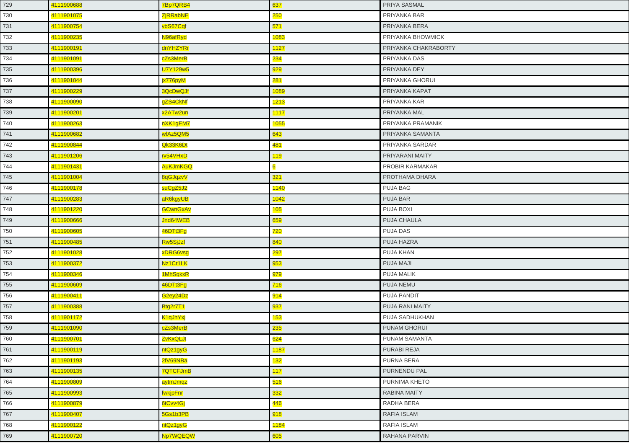| 729 | 4111900688        | 7Bp7QRB4              | 637              | PRIYA SASMAL         |
|-----|-------------------|-----------------------|------------------|----------------------|
| 730 | 4111901075        | <b>ZjRRabNE</b>       | 250              | PRIYANKA BAR         |
| 731 | 4111900754        | vbS67Cqf              | 571              | PRIYANKA BERA        |
| 732 | 4111900235        | N96afRyd              | 1083             | PRIYANKA BHOWMICK    |
| 733 | 4111900191        | dnYHZYRr              | 1127             | PRIYANKA CHAKRABORTY |
| 734 | 4111901091        | cZs3MerB              | 234              | PRIYANKA DAS         |
| 735 | 4111900396        | U7Y129w5              | 929              | PRIYANKA DEY         |
| 736 | 4111901044        | jx776pyM              | 281              | PRIYANKA GHORUI      |
| 737 | 4111900229        | 3QcDwQJf              | 1089             | PRIYANKA KAPAT       |
| 738 | 4111900090        | gZS4CkNf              | 1213             | PRIYANKA KAR         |
| 739 | 4111900201        | x2ATw2un              | 1117             | PRIYANKA MAL         |
| 740 | 4111900263        | nXK1gEM7              | 1055             | PRIYANKA PRAMANIK    |
| 741 | 4111900682        | wfAz5QM5              | 643              | PRIYANKA SAMANTA     |
| 742 | 4111900844        | Qk33K6Dt              | 481              | PRIYANKA SARDAR      |
| 743 | 4111901206        | rv54VHxD              | <b>119</b>       | PRIYARANI MAITY      |
| 744 | 4111901431        | <b>AuKJmKGQ</b>       | 6                | PROBIR KARMAKAR      |
| 745 | 4111901004        | <b>8qGJqzvV</b>       | 321              | PROTHAMA DHARA       |
| 746 | 4111900178        | suCgZ5J2              | 1140             | <b>PUJA BAG</b>      |
| 747 | 4111900283        | aR6kgyUB              | 1042             | PUJA BAR             |
| 748 | 4111901220        | <b>GCwnGxAv</b>       | 105              | PUJA BOXI            |
| 749 | 4111900666        | Jnd64WEB              | 659              | <b>PUJA CHAULA</b>   |
| 750 | 4111900605        | 46DTt3Fg              | 720              | PUJA DAS             |
| 751 | 4111900485        | Rw5SjJzf              | 840              | PUJA HAZRA           |
| 752 | 4111901028        | xDRG6vsg              | 297              | PUJA KHAN            |
| 753 | 4111900372        | Nz1Cr1LK              | 953              | PUJA MAJI            |
| 754 | 4111900346        | 1MhSqkxR              | 979              | PUJA MALIK           |
| 755 | 4111900609        | 46DTt3Fg              | 716              | PUJA NEMU            |
| 756 | 4111900411        | G <sub>2ey</sub> 24Dz | 914              | PUJA PANDIT          |
| 757 | 4111900388        | Btg2r7T1              | 937              | PUJA RANI MAITY      |
| 758 | 4111901172        | K1qJhYxj              | <b>153</b>       | PUJA SADHUKHAN       |
| 759 | 4111901090        | cZs3MerB              | 235              | <b>PUNAM GHORUI</b>  |
| 760 | <u>4111900701</u> | <u>ZvKxQLJt</u>       | <u>624</u>       | PUNAM SAMANTA        |
| 761 | 4111900119        | ntQz1gyG              | 1187             | PURABI REJA          |
| 762 | 4111901193        | 2fV69NBa              | <u> 132</u>      | PURNA BERA           |
| 763 | 4111900135        | <b>7QTCFJmB</b>       | $117$            | PURNENDU PAL         |
| 764 | 4111900809        | aytmJmqz              | <mark>516</mark> | PURNIMA KHETO        |
| 765 | 4111900993        | fwkjpFnr              | 332              | <b>RABINA MAITY</b>  |
| 766 | 4111900879        | 6tCvv4Gj              | 446              | RADHA BERA           |
| 767 | 4111900407        | 5Gs1b3PB              | 918              | RAFIA ISLAM          |
| 768 | 4111900122        | ntQz1gyG              | <u> 1184</u>     | RAFIA ISLAM          |
| 769 | 4111900720        | Np7WQEQW              | 605              | RAHANA PARVIN        |
|     |                   |                       |                  |                      |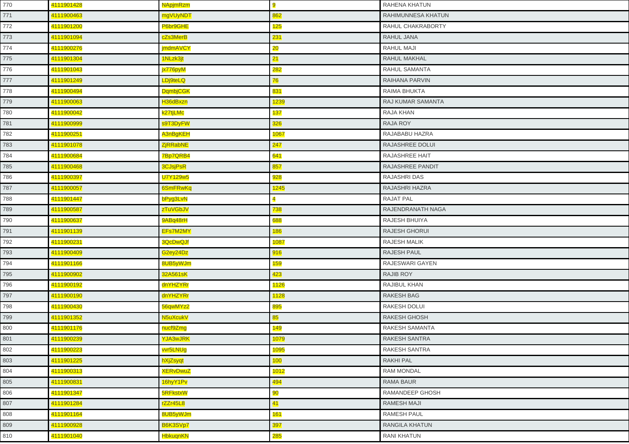| 770 | 4111901428 | <b>NApjmRzm</b>       |             | RAHENA KHATUN         |
|-----|------------|-----------------------|-------------|-----------------------|
| 771 | 4111900463 | mgVUyNDT              | 862         | RAHIMUNNESA KHATUN    |
| 772 | 4111901200 | P6br9GHE              | 125         | RAHUL CHAKRABORTY     |
| 773 | 4111901094 | cZs3MerB              | 231         | RAHUL JANA            |
| 774 | 4111900276 | jmdmAVCY              | 20          | RAHUL MAJI            |
| 775 | 4111901304 | 1NLzk3jt              | 21          | RAHUL MAKHAL          |
| 776 | 4111901043 | jx776pyM              | <b>282</b>  | RAHUL SAMANTA         |
| 777 | 4111901249 | LDj9teLQ              | 76          | RAIHANA PARVIN        |
| 778 | 4111900494 | <b>DqmbjCGK</b>       | 831         | RAIMA BHUKTA          |
| 779 | 4111900063 | H36dBxzn              | 1239        | RAJ KUMAR SAMANTA     |
| 780 | 4111900042 | k27tjLMc              | 137         | RAJA KHAN             |
| 781 | 4111900999 | s9T3DyFW              | 326         | <b>RAJA ROY</b>       |
| 782 | 4111900251 | A3nBgKEH              | 1067        | RAJABABU HAZRA        |
| 783 | 4111901078 | <b>ZjRRabNE</b>       | 247         | RAJASHREE DOLUI       |
| 784 | 4111900684 | 7Bp7QRB4              | 641         | RAJASHREE HAIT        |
| 785 | 4111900468 | <b>3CJsjPsR</b>       | 857         | RAJASHREE PANDIT      |
| 786 | 4111900397 | U7Y129w5              | 928         | RAJASHRI DAS          |
| 787 | 4111900057 | 6SmFRwKq              | 1245        | RAJASHRI HAZRA        |
| 788 | 4111901447 | bPyg3LvN              |             | <b>RAJAT PAL</b>      |
| 789 | 4111900587 | zTuVGbJV              | 738         | RAJENDRANATH NAGA     |
| 790 | 4111900637 | 9ABq48rH              | 688         | RAJESH BHUIYA         |
| 791 | 4111901139 | EFs7M2MY              | <b>186</b>  | <b>RAJESH GHORUI</b>  |
| 792 | 4111900231 | 3QcDwQJf              | 1087        | RAJESH MALIK          |
| 793 | 4111900409 | G <sub>2ey</sub> 24Dz | 916         | <b>RAJESH PAUL</b>    |
| 794 | 4111901166 | 8UB5yWJm              | <b>159</b>  | RAJESWARI GAYEN       |
| 795 | 4111900902 | 32A561sK              | 423         | <b>RAJIB ROY</b>      |
| 796 | 4111900192 | dnYHZYRr              | 1126        | RAJIBUL KHAN          |
| 797 | 4111900190 | dnYHZYRr              | 1128        | <b>RAKESH BAG</b>     |
| 798 | 4111900430 | 56qwMYz2              | 895         | RAKESH DOLUI          |
| 799 | 4111901352 | N5uXcukV              | 85          | <b>RAKESH GHOSH</b>   |
| 800 | 4111901176 | nucf9Zmg              | 149         | <b>RAKESH SAMANTA</b> |
| 801 | 4111900239 | <u>YJA3wJRK</u>       | 1079        | RAKESH SANTRA         |
| 802 | 4111900223 | vvr5LNUg              | 1095        | <b>RAKESH SANTRA</b>  |
| 803 | 4111901225 | hXjZsyqt              | 100         | RAKHI PAL             |
| 804 | 4111900313 | <b>XERvDwuZ</b>       | <b>1012</b> | <b>RAM MONDAL</b>     |
| 805 | 4111900831 | 16hyY1Pv              | 494         | <b>RAMA BAUR</b>      |
| 806 | 4111901347 | 5RFkstxW              | 90          | RAMANDEEP GHOSH       |
| 807 | 4111901284 | rZZr45L8              | 41          | <b>RAMESH MAJI</b>    |
| 808 | 4111901164 | 8UB5yWJm              | <b>161</b>  | RAMESH PAUL           |
| 809 | 4111900928 | B6K3SVp7              | 397         | RANGILA KHATUN        |
| 810 | 4111901040 | <b>HbkuqnKN</b>       | <b>285</b>  | <b>RANI KHATUN</b>    |
|     |            |                       |             |                       |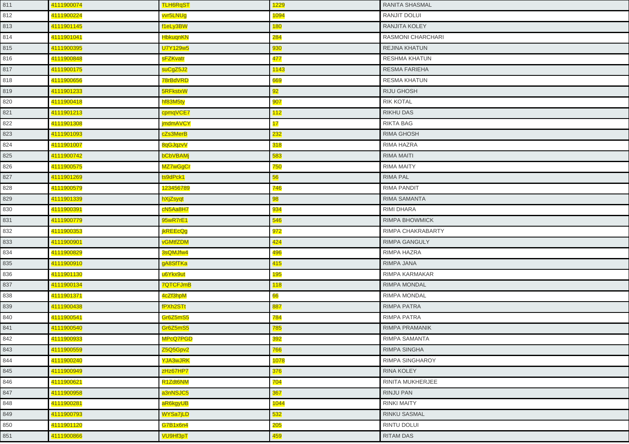| 811 | 4111900074 | <b>TLH6RqST</b> | 1229        | <b>RANITA SHASMAL</b>  |
|-----|------------|-----------------|-------------|------------------------|
| 812 | 4111900224 | vvr5LNUg        | <b>1094</b> | <b>RANJIT DOLUI</b>    |
| 813 | 4111901145 | f1eLy3BW        | <b>180</b>  | RANJITA KOLEY          |
| 814 | 4111901041 | <b>HbkuqnKN</b> | 284         | RASMONI CHARCHARI      |
| 815 | 4111900395 | U7Y129w5        | 930         | <b>REJINA KHATUN</b>   |
| 816 | 4111900848 | sFZKvatr        | 477         | <b>RESHMA KHATUN</b>   |
| 817 | 4111900175 | suCgZ5J2        | 1143        | <b>RESMA FARIEHA</b>   |
| 818 | 4111900656 | 78rBdVRD        | 669         | <b>RESMA KHATUN</b>    |
| 819 | 4111901233 | <b>5RFkstxW</b> | 92          | <b>RIJU GHOSH</b>      |
| 820 | 4111900418 | hf83M5ty        | 907         | <b>RIK KOTAL</b>       |
| 821 | 4111901213 | cpmqVCE7        | 112         | <b>RIKHU DAS</b>       |
| 822 | 4111901308 | jmdmAVCY        | 17          | <b>RIKTA BAG</b>       |
| 823 | 4111901093 | cZs3MerB        | 232         | <b>RIMA GHOSH</b>      |
| 824 | 4111901007 | 8qGJqzvV        | 318         | RIMA HAZRA             |
| 825 | 4111900742 | bCbVBAMj        | 583         | <b>RIMA MAITI</b>      |
| 826 | 4111900575 | MZ7wGgCr        | 750         | <b>RIMA MAITY</b>      |
| 827 | 4111901269 | ts9dPck1        | 56          | <b>RIMA PAL</b>        |
| 828 | 4111900579 | 123456789       | 746         | <b>RIMA PANDIT</b>     |
| 829 | 4111901339 | hXjZsyqt        | 98          | <b>RIMA SAMANTA</b>    |
| 830 | 4111900391 | cN5Aa8H7        | 934         | RIMI DHARA             |
| 831 | 4111900779 | 95wR7rE1        | 546         | <b>RIMPA BHOWMICK</b>  |
| 832 | 4111900353 | jkREEcQg        | 972         | RIMPA CHAKRABARTY      |
| 833 | 4111900901 | <b>vGMtfZDM</b> | 424         | <b>RIMPA GANGULY</b>   |
| 834 | 4111900829 | 3sQMJfw4        | 496         | RIMPA HAZRA            |
| 835 | 4111900910 | gA8SfTKa        | 415         | RIMPA JANA             |
| 836 | 4111901130 | u6Ykx9ut        | <b>195</b>  | RIMPA KARMAKAR         |
| 837 | 4111900134 | <b>7QTCFJmB</b> | 118         | <b>RIMPA MONDAL</b>    |
| 838 | 4111901371 | 4cZf3hpM        | 66          | <b>RIMPA MONDAL</b>    |
| 839 | 4111900438 | <b>fPXh2STt</b> | 887         | <b>RIMPA PATRA</b>     |
| 840 | 4111900541 | Gr6Z5mS5        | 784         | <b>RIMPA PATRA</b>     |
| 841 | 4111900540 | Gr6Z5mS5        | 785         | <b>RIMPA PRAMANIK</b>  |
| 842 | 4111900933 | <b>MPcQ7PGD</b> | <u>392</u>  | RIMPA SAMANTA          |
| 843 | 4111900559 | Z5Q5Gpv2        | 766         | <b>RIMPA SINGHA</b>    |
| 844 | 4111900240 | YJA3wJRK        | <b>1078</b> | <b>RIMPA SINGHAROY</b> |
| 845 | 4111900949 | zHz67HP7        | 376         | RINA KOLEY             |
| 846 | 4111900621 | R1Zdt6NM        | 704         | RINITA MUKHERJEE       |
| 847 | 4111900958 | a3nNSJC5        | 367         | <b>RINJU PAN</b>       |
| 848 | 4111900281 | aR6kgyUB        | <b>1044</b> | <b>RINKI MAITY</b>     |
| 849 | 4111900793 | WYSa7jLD        | 532         | RINKU SASMAL           |
| 850 | 4111901120 | G7B1x6n4        | <b>205</b>  | RINTU DOLUI            |
| 851 | 4111900866 | VU9Hf3pT        | 459         | <b>RITAM DAS</b>       |
|     |            |                 |             |                        |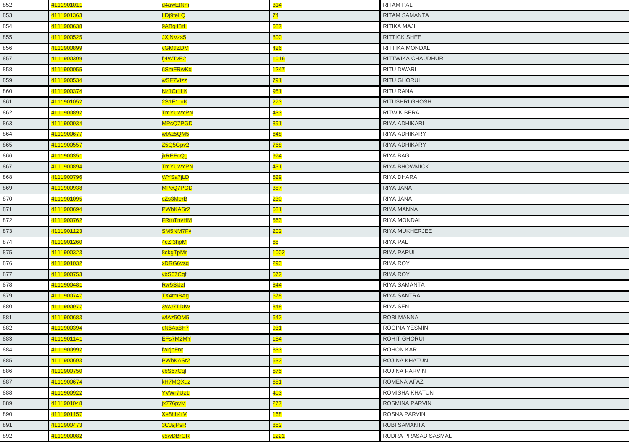| 852 | 4111901011 | d4awEtNm             | <mark>314</mark> | <b>RITAM PAL</b>           |
|-----|------------|----------------------|------------------|----------------------------|
| 853 | 4111901363 | LDj9teLQ             | 74               | <b>RITAM SAMANTA</b>       |
| 854 | 4111900638 | 9ABq48rH             | 687              | RITIKA MAJI                |
| 855 | 4111900525 | <b>JXjNVzs5</b>      | 800              | <b>RITTICK SHEE</b>        |
| 856 | 4111900899 | <b>vGMtfZDM</b>      | <u>426</u>       | RITTIKA MONDAL             |
| 857 | 4111900309 | fj4WTvE2             | 1016             | RITTWIKA CHAUDHURI         |
| 858 | 4111900055 | 6SmFRwKq             | <u> 1247</u>     | <b>RITU DWARI</b>          |
| 859 | 4111900534 | wSF7Vtzz             | 791              | <b>RITU GHORUI</b>         |
| 860 | 4111900374 | Nz1Cr1LK             | 951              | <b>RITU RANA</b>           |
| 861 | 4111901052 | 2S1E1rnK             | 273              | <b>RITUSHRI GHOSH</b>      |
| 862 | 4111900892 | <b>TmYUwYPN</b>      | 433              | <b>RITWIK BERA</b>         |
| 863 | 4111900934 | MP <sub>cQ7PGD</sub> | 391              | RIYA ADHIKARI              |
| 864 | 4111900677 | wfAz5QM5             | 648              | RIYA ADHIKARY              |
| 865 | 4111900557 | Z5Q5Gpv2             | 768              | RIYA ADHIKARY              |
| 866 | 4111900351 | jkREEcQg             | 974              | <b>RIYA BAG</b>            |
| 867 | 4111900894 | <b>TmYUwYPN</b>      | 431              | <b>RIYA BHOWMICK</b>       |
| 868 | 4111900796 | <b>WYSa7jLD</b>      | 529              | RIYA DHARA                 |
| 869 | 4111900938 | <b>MPcQ7PGD</b>      | 387              | RIYA JANA                  |
| 870 | 4111901095 | cZs3MerB             | 230              | RIYA JANA                  |
| 871 | 4111900694 | <b>PWbKASr2</b>      | 631              | <b>RIYA MANNA</b>          |
| 872 | 4111900762 | <b>FRmTnvHM</b>      | 563              | <b>RIYA MONDAL</b>         |
| 873 | 4111901123 | SM5NM7Fv             | 202              | RIYA MUKHERJEE             |
| 874 | 4111901260 | 4cZf3hpM             | 65               | <b>RIYA PAL</b>            |
| 875 | 4111900323 | 8ckgTpMr             | 1002             | <b>RIYA PARUI</b>          |
| 876 | 4111901032 | xDRG6vsg             | 293              | <b>RIYA ROY</b>            |
| 877 | 4111900753 | vbS67Cqf             | 572              | <b>RIYA ROY</b>            |
| 878 | 4111900481 | Rw5SjJzf             | 844              | <b>RIYA SAMANTA</b>        |
| 879 | 4111900747 | <b>TX4tmBAg</b>      | 578              | RIYA SANTRA                |
| 880 | 4111900977 | 3WJ7TDKv             | 348              | <b>RIYA SEN</b>            |
| 881 | 4111900683 | wfAz5QM5             | 642              | <b>ROBI MANNA</b>          |
| 882 | 4111900394 | cN5Aa8H7             | 931              | ROGINA YESMIN              |
| 883 | 4111901141 | EFs7M2MY             | <u> 184</u>      | ROHIT GHORUI               |
| 884 | 4111900992 | <u>fwkjpFnr</u>      | 333              | ROHON KAR                  |
| 885 | 4111900693 | <b>PWbKASr2</b>      | 632              | ROJINA KHATUN              |
| 886 | 4111900750 | vbS67Cqf             | 575              | ROJINA PARVIN              |
| 887 | 4111900674 | <b>kH7MQXuz</b>      | 651              | ROMENA AFAZ                |
| 888 | 4111900922 | YVWr7Uz1             | <mark>403</mark> | ROMISHA KHATUN             |
| 889 | 4111901048 | jx776pyM             | 277              | ROSMINA PARVIN             |
| 890 | 4111901157 | Xe8hh4rV             | <b>168</b>       | <b>ROSNA PARVIN</b>        |
| 891 | 4111900473 | <b>3CJsjPsR</b>      | 852              | <b>RUBI SAMANTA</b>        |
| 892 | 4111900082 | v5wDBrGR             | 1221             | <b>RUDRA PRASAD SASMAL</b> |
|     |            |                      |                  |                            |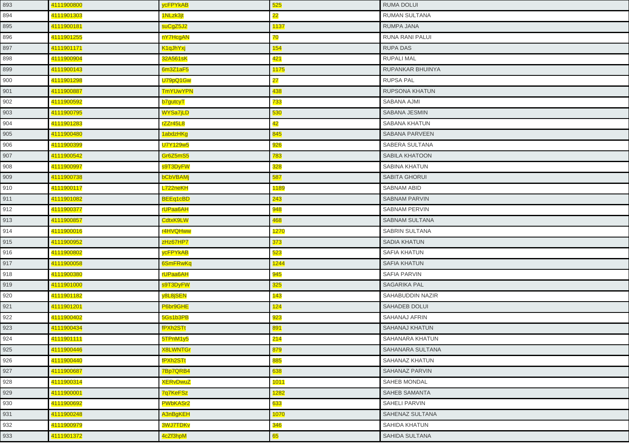| 893 | 4111900800        | <b>VCFPYKAB</b>       | 525              | <b>RUMA DOLUI</b>     |
|-----|-------------------|-----------------------|------------------|-----------------------|
| 894 | 4111901303        | 1NLzk3jt              | 22               | RUMAN SULTANA         |
| 895 | 4111900181        | suCgZ5J2              | 1137             | <b>RUMPA JANA</b>     |
| 896 | 4111901255        | nY7HcgAN              | 70               | RUNA RANI PALUI       |
| 897 | 4111901171        | K <sub>1q</sub> JhYxj | 154              | RUPA DAS              |
| 898 | 4111900904        | 32A561sK              | 421              | <b>RUPALI MAL</b>     |
| 899 | 4111900143        | 6m3Z1aF5              | 1175             | RUPANKAR BHUINYA      |
| 900 | 4111901298        | U79pQ1Gw              | 27               | <b>RUPSA PAL</b>      |
| 901 | 4111900887        | <b>TmYUwYPN</b>       | 438              | <b>RUPSONA KHATUN</b> |
| 902 | 4111900592        | b7gutcyT              | 733              | SABANA AJMI           |
| 903 | 4111900795        | <b>WYSa7jLD</b>       | 530              | SABANA JESMIN         |
| 904 | 4111901283        | rZZr45L8              | 42               | SABANA KHATUN         |
| 905 | 4111900480        | 1abdzHKg              | 845              | SABANA PARVEEN        |
| 906 | 4111900399        | U7Y129w5              | 926              | SABERA SULTANA        |
| 907 | 4111900542        | Gr6Z5mS5              | 783              | <b>SABILA KHATOON</b> |
| 908 | 4111900997        | s9T3DyFW              | 328              | SABINA KHATUN         |
| 909 | 4111900738        | bCbVBAMj              | 587              | <b>SABITA GHORUI</b>  |
| 910 | 4111900117        | L722neKH              | 1189             | <b>SABNAM ABID</b>    |
| 911 | 4111901082        | BEEq1cBD              | 243              | <b>SABNAM PARVIN</b>  |
| 912 | 4111900377        | rUPaa6AH              | 948              | <b>SABNAM PERVIN</b>  |
| 913 | 4111900857        | CdtxK9LW              | 468              | <b>SABNAM SULTANA</b> |
| 914 | 4111900016        | r4HVQHww              | 1270             | SABRIN SULTANA        |
| 915 | 4111900952        | zHz67HP7              | 373              | <b>SADIA KHATUN</b>   |
| 916 | 4111900802        | ycFPYkAB              | 523              | SAFIA KHATUN          |
| 917 | 4111900058        | 6SmFRwKq              | 1244             | <b>SAFIA KHATUN</b>   |
| 918 | 4111900380        | rUPaa6AH              | 945              | <b>SAFIA PARVIN</b>   |
| 919 | 4111901000        | s9T3DyFW              | 325              | <b>SAGARIKA PAL</b>   |
| 920 | 4111901182        | y8L8jSEN              | 143              | SAHABUDDIN NAZIR      |
| 921 | 4111901201        | P6br9GHE              | 124              | SAHADEB DOLUI         |
| 922 | 4111900402        | 5Gs1b3PB              | 923              | SAHANAJ AFRIN         |
| 923 | 4111900434        | fPXh2STt              | 891              | <b>SAHANAJ KHATUN</b> |
| 924 | <u>4111901111</u> | 5TPnM1y5              | <u> 214</u>      | SAHANARA KHATUN       |
| 925 | 4111900446        | <b>X8LWNTGr</b>       | 879              | SAHANARA SULTANA      |
| 926 | 4111900440        | fPXh2STt              | 885              | <b>SAHANAZ KHATUN</b> |
| 927 | 4111900687        | 7Bp7QRB4              | 638              | SAHANAZ PARVIN        |
| 928 | 4111900314        | <b>XERvDwuZ</b>       | <b>1011</b>      | <b>SAHEB MONDAL</b>   |
| 929 | 4111900001        | 7q7KeFSz              | 1282             | <b>SAHEB SAMANTA</b>  |
| 930 | 4111900692        | <b>PWbKASr2</b>       | 633              | SAHELI PARVIN         |
| 931 | 4111900248        | <b>A3nBgKEH</b>       | 1070             | SAHENAZ SULTANA       |
| 932 | 4111900979        | 3WJ7TDKv              | <mark>346</mark> | SAHIDA KHATUN         |
| 933 | 4111901372        | 4cZf3hpM              | 65               | <b>SAHIDA SULTANA</b> |
|     |                   |                       |                  |                       |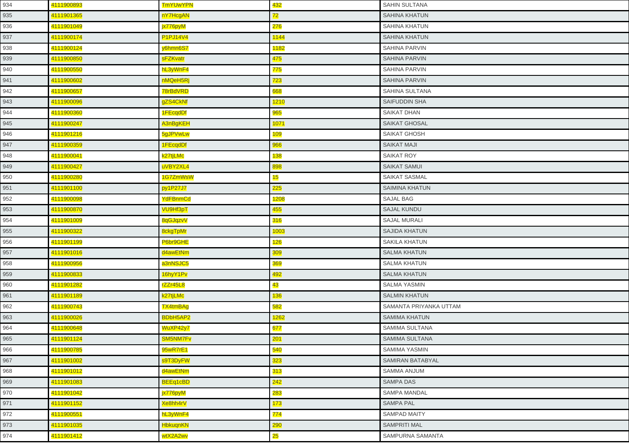| 934 | 4111900893 | <b>TmYUwYPN</b>       | <u>432</u>  | <b>SAHIN SULTANA</b>   |
|-----|------------|-----------------------|-------------|------------------------|
| 935 | 4111901365 | nY7HcgAN              | 72          | SAHINA KHATUN          |
| 936 | 4111901049 | jx776pyM              | 276         | SAHINA KHATUN          |
| 937 | 4111900174 | <b>P1PJ14V4</b>       | 1144        | <b>SAHINA KHATUN</b>   |
| 938 | 4111900124 | y6hmn6S7              | <b>1182</b> | <b>SAHINA PARVIN</b>   |
| 939 | 4111900850 | <b>sFZKvatr</b>       | 475         | <b>SAHINA PARVIN</b>   |
| 940 | 4111900550 | hL3yWnF4              | 775         | <b>SAHINA PARVIN</b>   |
| 941 | 4111900602 | nMQeH5Rj              | 723         | <b>SAHINA PARVIN</b>   |
| 942 | 4111900657 | 78rBdVRD              | 668         | SAHINA SULTANA         |
| 943 | 4111900096 | gZS4CkNf              | 1210        | SAIFUDDIN SHA          |
| 944 | 4111900360 | 1FEcqdDf              | 965         | <b>SAIKAT DHAN</b>     |
| 945 | 4111900247 | A3nBgKEH              | 1071        | <b>SAIKAT GHOSAL</b>   |
| 946 | 4111901216 | 5gJPVwLw              | <u> 109</u> | <b>SAIKAT GHOSH</b>    |
| 947 | 4111900359 | 1FEcqdDf              | 966         | <b>SAIKAT MAJI</b>     |
| 948 | 4111900041 | k27tjLMc              | <b>138</b>  | <b>SAIKAT ROY</b>      |
| 949 | 4111900427 | uVBY2XL4              | 898         | <b>SAIKAT SAMUI</b>    |
| 950 | 4111900280 | 1G7ZmWsW              | 15          | SAIKAT SASMAL          |
| 951 | 4111901100 | py1P27J7              | 225         | <b>SAIMINA KHATUN</b>  |
| 952 | 4111900098 | YdFBnmCd              | <u>1208</u> | <b>SAJAL BAG</b>       |
| 953 | 4111900870 | VU9Hf3pT              | 455         | <b>SAJAL KUNDU</b>     |
| 954 | 4111901009 | 8qGJqzvV              | 316         | <b>SAJAL MURALI</b>    |
| 955 | 4111900322 | <b>8ckgTpMr</b>       | 1003        | <b>SAJIDA KHATUN</b>   |
| 956 | 4111901199 | P6br9GHE              | <b>126</b>  | <b>SAKILA KHATUN</b>   |
| 957 | 4111901016 | d4awEtNm              | 309         | <b>SALMA KHATUN</b>    |
| 958 | 4111900956 | a3nNSJC5              | 369         | <b>SALMA KHATUN</b>    |
| 959 | 4111900833 | 16hyY1Pv              | 492         | <b>SALMA KHATUN</b>    |
| 960 | 4111901282 | rZZr45L8              | 43          | SALMA YASMIN           |
| 961 | 4111901189 | k <sub>27tj</sub> LMc | 136         | <b>SALMIN KHATUN</b>   |
| 962 | 4111900743 | TX4tmBAg              | 582         | SAMANTA PRIYANKA UTTAM |
| 963 | 4111900026 | BDbH5AP2              | 1262        | <b>SAMIMA KHATUN</b>   |
| 964 | 4111900648 | WuXP42y7              | 677         | <b>SAMIMA SULTANA</b>  |
| 965 | 4111901124 | <b>SM5NM7Fv</b>       | <u> 201</u> | SAMIMA SULTANA         |
| 966 | 4111900785 | 95wR7rE1              | 540         | <b>SAMIMA YASMIN</b>   |
| 967 | 4111901002 | s9T3DyFW              | 323         | SAMIRAN BATABYAL       |
| 968 | 4111901012 | d4awEtNm              | 313         | SAMMA ANJUM            |
| 969 | 4111901083 | BEEq1cBD              | 242         | <b>SAMPA DAS</b>       |
| 970 | 4111901042 | jx776pyM              | <b>283</b>  | <b>SAMPA MANDAL</b>    |
| 971 | 4111901152 | Xe8hh4rV              | 173         | <b>SAMPA PAL</b>       |
| 972 | 4111900551 | hL3yWnF4              | 774         | <b>SAMPAD MAITY</b>    |
| 973 | 4111901035 | <b>HbkuqnKN</b>       | 290         | SAMPRITI MAL           |
| 974 | 4111901412 | wtX2A2wv              | 25          | SAMPURNA SAMANTA       |
|     |            |                       |             |                        |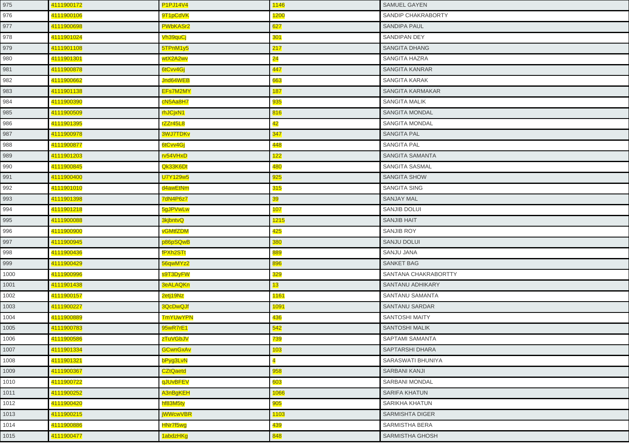| 975  | 4111900172        | P1PJ14V4        | 1146             | <b>SAMUEL GAYEN</b>    |
|------|-------------------|-----------------|------------------|------------------------|
| 976  | 4111900106        | 9T1pCdVK        | <b>1200</b>      | SANDIP CHAKRABORTY     |
| 977  | 4111900698        | <b>PWbKASr2</b> | 627              | <b>SANDIPA PAUL</b>    |
| 978  | 4111901024        | Vh39quCj        | 301              | SANDIPAN DEY           |
| 979  | 4111901108        | 5TPnM1y5        | 217              | <b>SANGITA DHANG</b>   |
| 980  | 4111901301        | wtX2A2wv        | 24               | <b>SANGITA HAZRA</b>   |
| 981  | 4111900878        | 6tCvv4Gj        | 447              | <b>SANGITA KANRAR</b>  |
| 982  | 4111900662        | Jnd64WEB        | 663              | SANGITA KARAK          |
| 983  | 4111901138        | EFs7M2MY        | <b>187</b>       | SANGITA KARMAKAR       |
| 984  | 4111900390        | cN5Aa8H7        | 935              | <b>SANGITA MALIK</b>   |
| 985  | 4111900509        | rhJCjxN1        | 816              | <b>SANGITA MONDAL</b>  |
| 986  | 4111901395        | rZZr45L8        | 42               | SANGITA MONDAL         |
| 987  | 4111900978        | <b>3WJ7TDKv</b> | 347              | <b>SANGITA PAL</b>     |
| 988  | 4111900877        | 6tCvv4Gj        | 448              | <b>SANGITA PAL</b>     |
| 989  | 4111901203        | rv54VHxD        | 122              | <b>SANGITA SAMANTA</b> |
| 990  | 4111900845        | Qk33K6Dt        | 480              | <b>SANGITA SASMAL</b>  |
| 991  | 4111900400        | U7Y129w5        | 925              | <b>SANGITA SHOW</b>    |
| 992  | 4111901010        | d4awEtNm        | 315              | SANGITA SING           |
| 993  | 4111901398        | 7dN4P6z7        | 39               | <b>SANJAY MAL</b>      |
| 994  | 4111901218        | 5gJPVwLw        | 107              | SANJIB DOLUI           |
| 995  | 4111900088        | 3kjbntvQ        | 1215             | <b>SANJIB HAIT</b>     |
| 996  | 4111900900        | <b>vGMtfZDM</b> | 425              | <b>SANJIB ROY</b>      |
| 997  | 4111900945        | p86pSQwB        | 380              | <b>SANJU DOLUI</b>     |
| 998  | 4111900436        | fPXh2STt        | 889              | <b>SANJU JANA</b>      |
| 999  | 4111900429        | 56qwMYz2        | 896              | <b>SANKET BAG</b>      |
| 1000 | 4111900996        | s9T3DyFW        | 329              | SANTANA CHAKRABORTTY   |
| 1001 | 4111901438        | <b>3eALAQKn</b> | 13               | SANTANU ADHIKARY       |
| 1002 | 4111900157        | 2etj19Nz        | 1161             | SANTANU SAMANTA        |
| 1003 | 4111900227        | 3QcDwQJf        | 1091             | SANTANU SARDAR         |
| 1004 | 4111900889        | <b>TmYUwYPN</b> | 436              | SANTOSHI MAITY         |
| 1005 | 4111900783        | 95wR7rE1        | 542              | <b>SANTOSHI MALIK</b>  |
| 1006 | <u>4111900586</u> | zTuVGbJV        | <u>739</u>       | SAPTAMI SAMANTA        |
| 1007 | 4111901334        | <b>GCwnGxAv</b> | 103              | SAPTARSHI DHARA        |
| 1008 | 4111901321        | bPyg3LvN        |                  | SARASWATI BHUNIYA      |
| 1009 | 4111900367        | <b>CZtQaetd</b> | 958              | SARBANI KANJI          |
| 1010 | 4111900722        | qJUvBFEV        | 603              | <b>SARBANI MONDAL</b>  |
| 1011 | 4111900252        | <b>A3nBgKEH</b> | 1066             | SARIFA KHATUN          |
| 1012 | 4111900420        | hf83M5ty        | 905              | SARIKHA KHATUN         |
| 1013 | 4111900215        | <b>jWWcwVBR</b> | 1103             | <b>SARMISHTA DIGER</b> |
| 1014 | 4111900886        | HNr7f5wg        | <mark>439</mark> | SARMISTHA BERA         |
| 1015 | 4111900477        | 1abdzHKg        | 848              | SARMISTHA GHOSH        |
|      |                   |                 |                  |                        |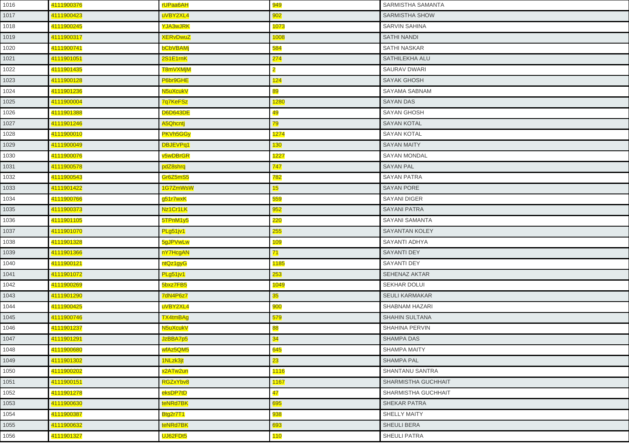| 1016 | 4111900376        | rUPaa6AH        | <mark>949</mark>  | SARMISTHA SAMANTA     |
|------|-------------------|-----------------|-------------------|-----------------------|
| 1017 | 4111900423        | uVBY2XL4        | 902               | SARMISTHA SHOW        |
| 1018 | 4111900245        | YJA3wJRK        | <b>1073</b>       | SARVIN SAHINA         |
| 1019 | 4111900317        | <b>XERvDwuZ</b> | 1008              | <b>SATHI NANDI</b>    |
| 1020 | 4111900741        | bCbVBAMj        | <b>584</b>        | SATHI NASKAR          |
| 1021 | 4111901051        | 2S1E1mK         | 274               | SATHILEKHA ALU        |
| 1022 | 4111901435        | T8mVXMjM        | $\overline{2}$    | <b>SAURAV DWARI</b>   |
| 1023 | 4111900128        | P6br9GHE        | 124               | SAYAK GHOSH           |
| 1024 | 4111901236        | N5uXcukV        | 89                | SAYAMA SABNAM         |
| 1025 | 4111900004        | 7q7KeFSz        | 1280              | <b>SAYAN DAS</b>      |
| 1026 | 4111901388        | <b>D6D643DE</b> | 49                | <b>SAYAN GHOSH</b>    |
| 1027 | 4111901246        | <b>A5Qhcntj</b> | 79                | <b>SAYAN KOTAL</b>    |
| 1028 | 4111900010        | <b>PKVh5GGy</b> | <mark>1274</mark> | SAYAN KOTAL           |
| 1029 | 4111900049        | DBJEVPq1        | 130               | <b>SAYAN MAITY</b>    |
| 1030 | 4111900076        | v5wDBrGR        | <u> 1227</u>      | <b>SAYAN MONDAL</b>   |
| 1031 | 4111900578        | pdZ8shrq        | 747               | <b>SAYAN PAL</b>      |
| 1032 | 4111900543        | Gr6Z5mS5        | 782               | <b>SAYAN PATRA</b>    |
| 1033 | 4111901422        | 1G7ZmWsW        | 15                | <b>SAYAN PORE</b>     |
| 1034 | 4111900766        | g51r7wxK        | 559               | <b>SAYANI DIGER</b>   |
| 1035 | 4111900373        | Nz1Cr1LK        | 952               | SAYANI PATRA          |
| 1036 | 4111901105        | 5TPnM1y5        | 220               | SAYANI SAMANTA        |
| 1037 | 4111901070        | PLg51jv1        | 255               | SAYANTAN KOLEY        |
| 1038 | 4111901328        | 5gJPVwLw        | <b>109</b>        | SAYANTI ADHYA         |
| 1039 | 4111901366        | nY7HcgAN        | 71                | SAYANTI DEY           |
| 1040 | 4111900121        | ntQz1gyG        | <b>1185</b>       | SAYANTI DEY           |
| 1041 | 4111901072        | PLg51jv1        | 253               | SEHENAZ AKTAR         |
| 1042 | 4111900269        | 5bxz7FB5        | 1049              | SEKHAR DOLUI          |
| 1043 | 4111901290        | 7dN4P6z7        | 35                | SEULI KARMAKAR        |
| 1044 | 4111900425        | uVBY2XL4        | 900               | SHABNAM HAZARI        |
| 1045 | 4111900746        | <b>TX4tmBAg</b> | 579               | <b>SHAHIN SULTANA</b> |
| 1046 | 4111901237        | N5uXcukV        | 88                | <b>SHAHINA PERVIN</b> |
| 1047 | <u>4111901291</u> | JzBBA7p5        | 34                | SHAMPA DAS            |
| 1048 | 4111900680        | wfAz5QM5        | 645               | <b>SHAMPA MAITY</b>   |
| 1049 | 4111901302        | 1NLzk3jt        | 23                | <b>SHAMPA PAL</b>     |
| 1050 | 4111900202        | x2ATw2un        | 1116              | SHANTANU SANTRA       |
| 1051 | 4111900151        | RGZxYbv8        | 1167              | SHARMISTHA GUCHHAIT   |
| 1052 | 4111901278        | eksDP7tD        | 47                | SHARMISTHA GUCHHAIT   |
| 1053 | 4111900630        | teNRd7BK        | 695               | <b>SHEKAR PATRA</b>   |
| 1054 | 4111900387        | Btg2r7T1        | 938               | SHELLY MAITY          |
| 1055 | 4111900632        | teNRd7BK        | 693               | SHEULI BERA           |
| 1056 | 4111901327        | UJ62FDt5        | 110               | SHEULI PATRA          |
|      |                   |                 |                   |                       |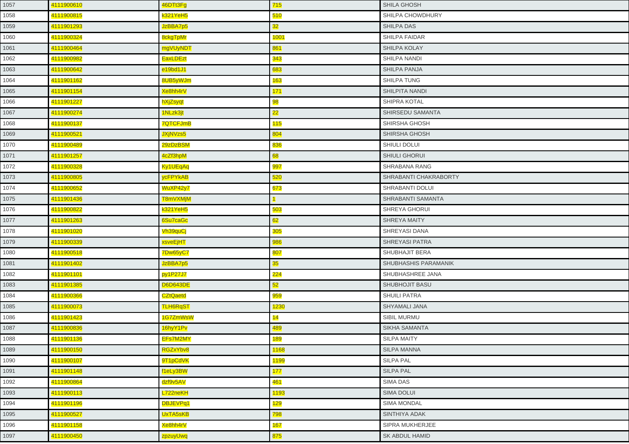| 1057 | 4111900610 | 46DTt3Fg        | $\boxed{715}$     | <b>SHILA GHOSH</b>       |
|------|------------|-----------------|-------------------|--------------------------|
| 1058 | 4111900815 | k321YeH5        | 510               | SHILPA CHOWDHURY         |
| 1059 | 4111901293 | JzBBA7p5        | 32                | <b>SHILPA DAS</b>        |
| 1060 | 4111900324 | 8ckgTpMr        | 1001              | SHILPA FAIDAR            |
| 1061 | 4111900464 | mgVUyNDT        | 861               | SHILPA KOLAY             |
| 1062 | 4111900982 | <b>EaxLDEzt</b> | 343               | SHILPA NANDI             |
| 1063 | 4111900642 | e19bd1J1        | 683               | <b>SHILPA PANJA</b>      |
| 1064 | 4111901162 | 8UB5yWJm        | 163               | SHILPA TUNG              |
| 1065 | 4111901154 | Xe8hh4rV        | 171               | <b>SHILPITA NANDI</b>    |
| 1066 | 4111901227 | <u>hXjZsyqt</u> | 98                | SHIPRA KOTAL             |
| 1067 | 4111900274 | 1NLzk3jt        | 22                | SHIRSEDU SAMANTA         |
| 1068 | 4111900137 | <b>7QTCFJmB</b> | 115               | SHIRSHA GHOSH            |
| 1069 | 4111900521 | JXjNVzs5        | 804               | SHIRSHA GHOSH            |
| 1070 | 4111900489 | 29zDzBSM        | 836               | SHIULI DOLUI             |
| 1071 | 4111901257 | 4cZf3hpM        | 68                | SHIULI GHORUI            |
| 1072 | 4111900328 | Ky1UEqAq        | 997               | SHRABANA RANG            |
| 1073 | 4111900805 | ycFPYkAB        | 520               | SHRABANTI CHAKRABORTY    |
| 1074 | 4111900652 | WuXP42y7        | 673               | SHRABANTI DOLUI          |
| 1075 | 4111901436 | T8mVXMjM        |                   | <b>SHRABANTI SAMANTA</b> |
| 1076 | 4111900822 | k321YeH5        | 503               | SHREYA GHORUI            |
| 1077 | 4111901263 | 6Su7caGc        | 62                | SHREYA MAITY             |
| 1078 | 4111901020 | Vh39quCj        | 305               | SHREYASI DANA            |
| 1079 | 4111900339 | xsveEjHT        | 986               | <b>SHREYASI PATRA</b>    |
| 1080 | 4111900518 | 7Dw65yC7        | 807               | SHUBHAJIT BERA           |
| 1081 | 4111901402 | JzBBA7p5        | 35                | SHUBHASHIS PARAMANIK     |
| 1082 | 4111901101 | py1P27J7        | 224               | SHUBHASHREE JANA         |
| 1083 | 4111901385 | <b>D6D643DE</b> | 52                | SHUBHOJIT BASU           |
| 1084 | 4111900366 | <b>CZtQaetd</b> | 959               | SHUILI PATRA             |
| 1085 | 4111900073 | TLH6RqST        | 1230              | SHYAMALI JANA            |
| 1086 | 4111901423 | 1G7ZmWsW        | 14                | <b>SIBIL MURMU</b>       |
| 1087 | 4111900836 | 16hyY1Pv        | 489               | <b>SIKHA SAMANTA</b>     |
| 1088 | 4111901136 | EFs7M2MY        | <u> 189</u>       | SILPA MAITY              |
| 1089 | 4111900150 | RGZxYbv8        | 1168              | <b>SILPA MANNA</b>       |
| 1090 | 4111900107 | 9T1pCdVK        | <mark>1199</mark> | SILPA PAL                |
| 1091 | 4111901148 | f1eLy3BW        | 177               | <b>SILPA PAL</b>         |
| 1092 | 4111900864 | dzf9v5AV        | 461               | SIMA DAS                 |
| 1093 | 4111900113 | L722neKH        | 1193              | SIMA DOLUI               |
| 1094 | 4111901196 | DBJEVPq1        | <b>129</b>        | SIMA MONDAL              |
| 1095 | 4111900527 | UxTA5sKB        | 798               | SINTHIYA ADAK            |
| 1096 | 4111901158 | Xe8hh4rV        | <b>167</b>        | SIPRA MUKHERJEE          |
| 1097 | 4111900450 | zpzuyUwq        | 875               | SK ABDUL HAMID           |
|      |            |                 |                   |                          |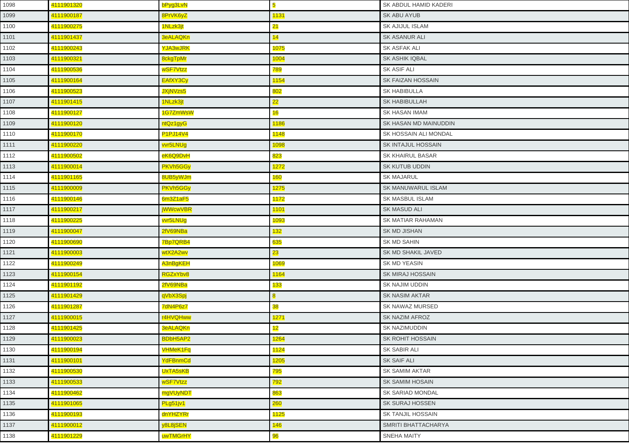| 1098 | <mark>4111901320</mark> | bPyg3LvN        | 5                | SK ABDUL HAMID KADERI     |
|------|-------------------------|-----------------|------------------|---------------------------|
| 1099 | 4111900187              | 8PrVK6yZ        | 1131             | <b>SK ABU AYUB</b>        |
| 1100 | 4111900275              | 1NLzk3jt        | 21               | SK AJIJUL ISLAM           |
| 1101 | 4111901437              | <b>3eALAQKn</b> | 14               | SK ASANUR ALI             |
| 1102 | 4111900243              | YJA3wJRK        | 1075             | SK ASFAK ALI              |
| 1103 | 4111900321              | 8ckgTpMr        | 1004             | SK ASHIK IQBAL            |
| 1104 | 4111900536              | wSF7Vtzz        | 789              | <b>SK ASIF ALI</b>        |
| 1105 | 4111900164              | EAfXY3Cy        | 1154             | SK FAIZAN HOSSAIN         |
| 1106 | 4111900523              | <b>JXjNVzs5</b> | 802              | <b>SK HABIBULLA</b>       |
| 1107 | 4111901415              | 1NLzk3jt        | 22               | <b>SK HABIBULLAH</b>      |
| 1108 | 4111900127              | 1G7ZmWsW        | 16               | SK HASAN IMAM             |
| 1109 | 4111900120              | ntQz1gyG        | 1186             | SK HASAN MD MAINUDDIN     |
| 1110 | 4111900170              | P1PJ14V4        | <b>1148</b>      | SK HOSSAIN ALI MONDAL     |
| 1111 | 4111900220              | vvr5LNUg        | 1098             | SK INTAJUL HOSSAIN        |
| 1112 | 4111900502              | eK6Q9DvH        | <mark>823</mark> | <b>SK KHAIRUL BASAR</b>   |
| 1113 | 4111900014              | <b>PKVh5GGy</b> | 1272             | SK KUTUB UDDIN            |
| 1114 | 4111901165              | 8UB5yWJm        | <b>160</b>       | <b>SK MAJARUL</b>         |
| 1115 | 4111900009              | <b>PKVh5GGy</b> | 1275             | SK MANUWARUL ISLAM        |
| 1116 | 4111900146              | 6m3Z1aF5        | 1172             | <b>SK MASBUL ISLAM</b>    |
| 1117 | 4111900217              | <b>jWWcwVBR</b> | 1101             | <b>SK MASUD ALI</b>       |
| 1118 | 4111900225              | vvr5LNUg        | 1093             | <b>SK MATIAR RAHAMAN</b>  |
| 1119 | 4111900047              | 2fV69NBa        | 132              | <b>SK MD JISHAN</b>       |
| 1120 | 4111900690              | 7Bp7QRB4        | 635              | <b>SK MD SAHIN</b>        |
| 1121 | 4111900003              | wtX2A2wv        | 23               | <b>SK MD SHAKIL JAVED</b> |
| 1122 | 4111900249              | A3nBgKEH        | 1069             | SK MD YEASIN              |
| 1123 | 4111900154              | RGZxYbv8        | 1164             | <b>SK MIRAJ HOSSAIN</b>   |
| 1124 | 4111901192              | 2fV69NBa        | <b>133</b>       | SK NAJIM UDDIN            |
| 1125 | 4111901429              | qVbX3Spj        | 8                | <b>SK NASIM AKTAR</b>     |
| 1126 | 4111901287              | 7dN4P6z7        | 38               | SK NAWAZ MURSED           |
| 1127 | 4111900015              | r4HVQHww        | 1271             | SK NAZIM AFROZ            |
| 1128 | 4111901425              | <b>3eALAQKn</b> | 12               | SK NAZIMUDDIN             |
| 1129 | 4111900023              | BDbH5AP2        | <u> 1264</u>     | SK ROHIT HOSSAIN          |
| 1130 | 4111900194              | <b>VHMeK1Fq</b> | 1124             | SK SABIR ALI              |
| 1131 | 4111900101              | YdFBnmCd        | 1205             | <b>SK SAIF ALI</b>        |
| 1132 | 4111900530              | UxTA5sKB        | <b>795</b>       | SK SAMIM AKTAR            |
| 1133 | 4111900533              | wSF7Vtzz        | 792              | SK SAMIM HOSAIN           |
| 1134 | 4111900462              | mgVUyNDT        | 863              | SK SARIAD MONDAL          |
| 1135 | 4111901065              | PLg51jv1        | 260              | SK SURAJ HOSSEN           |
| 1136 | 4111900193              | dnYHZYRr        | <b>1125</b>      | SK TANJIL HOSSAIN         |
| 1137 | 4111900012              | y8L8jSEN        | 146              | SMRITI BHATTACHARYA       |
| 1138 | 4111901229              | <b>uwTMGrHY</b> | 96               | SNEHA MAITY               |
|      |                         |                 |                  |                           |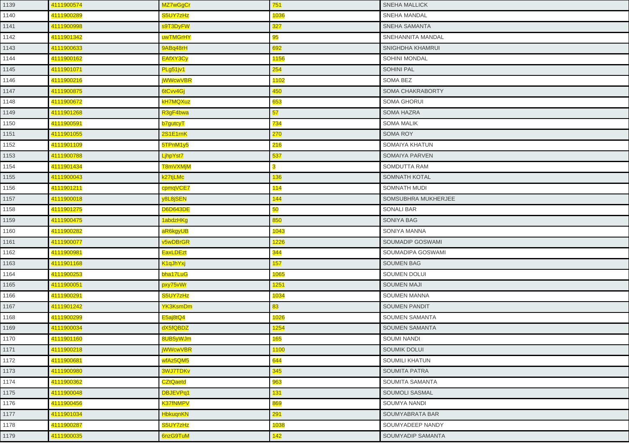| 1139 | 4111900574        | MZ7wGgCr                          | 751         | <b>SNEHA MALLICK</b>  |
|------|-------------------|-----------------------------------|-------------|-----------------------|
| 1140 | 4111900289        | S5UY7zHz                          | 1036        | SNEHA MANDAL          |
| 1141 | 4111900998        | s9T3DyFW                          | 327         | SNEHA SAMANTA         |
| 1142 | 4111901342        | uwTMGrHY                          | 95          | SNEHANNITA MANDAL     |
| 1143 | 4111900633        | 9ABq48rH                          | 692         | SNIGHDHA KHAMRUI      |
| 1144 | 4111900162        | EAfXY3Cy                          | 1156        | SOHINI MONDAL         |
| 1145 | 4111901071        | PLg51jv1                          | 254         | <b>SOHINI PAL</b>     |
| 1146 | 4111900216        | jWWcwVBR                          | 1102        | SOMA BEZ              |
| 1147 | 4111900875        | 6tCvv4Gj                          | 450         | SOMA CHAKRABORTY      |
| 1148 | 4111900672        | kH7MQXuz                          | 653         | <b>SOMA GHORUI</b>    |
| 1149 | 4111901268        | R3gF4bwa                          | 57          | <b>SOMA HAZRA</b>     |
| 1150 | 4111900591        | b7gutcyT                          | 734         | <b>SOMA MALIK</b>     |
| 1151 | 4111901055        | 2S1E1rnK                          | 270         | SOMA ROY              |
| 1152 | 4111901109        | 5TPnM1y5                          | <b>216</b>  | SOMAIYA KHATUN        |
| 1153 | 4111900788        | LjhpYst7                          | 537         | SOMAIYA PARVEN        |
| 1154 | 4111901434        | T8mVXMjM                          | 3           | SOMDUTTA RAM          |
| 1155 | 4111900043        | k <sub>27tj</sub> LM <sub>c</sub> | <b>136</b>  | SOMNATH KOTAL         |
| 1156 | 4111901211        | cpmqVCE7                          | 114         | <b>SOMNATH MUDI</b>   |
| 1157 | 4111900018        | y8L8jSEN                          | 144         | SOMSUBHRA MUKHERJEE   |
| 1158 | 4111901275        | <b>D6D643DE</b>                   | 50          | SONALI BAR            |
| 1159 | 4111900475        | 1abdzHKg                          | 850         | SONIYA BAG            |
| 1160 | 4111900282        | aR6kgyUB                          | 1043        | SONIYA MANNA          |
| 1161 | 4111900077        | v5wDBrGR                          | 1226        | SOUMADIP GOSWAMI      |
| 1162 | 4111900981        | <b>EaxLDEzt</b>                   | 344         | SOUMADIPA GOSWAMI     |
| 1163 | 4111901168        | K <sub>1q</sub> JhYxj             | 157         | <b>SOUMEN BAG</b>     |
| 1164 | 4111900253        | bha17LuG                          | 1065        | <b>SOUMEN DOLUI</b>   |
| 1165 | 4111900051        | pxy75vWr                          | 1251        | <b>SOUMEN MAJI</b>    |
| 1166 | 4111900291        | S5UY7zHz                          | 1034        | SOUMEN MANNA          |
| 1167 | 4111901242        | YK3KsmDm                          | 83          | <b>SOUMEN PANDIT</b>  |
| 1168 | 4111900299        | E5aj8tQ4                          | <b>1026</b> | SOUMEN SAMANTA        |
| 1169 | 4111900034        | dX5fQBDZ                          | 1254        | <b>SOUMEN SAMANTA</b> |
| 1170 | <u>4111901160</u> | 8UB5yWJm                          | <u> 165</u> | SOUMI NANDI           |
| 1171 | 4111900218        | <b>jWWcwVBR</b>                   | 1100        | SOUMIK DOLUI          |
| 1172 | 4111900681        | wfAz5QM5                          | 644         | <b>SOUMILI KHATUN</b> |
| 1173 | 4111900980        | 3WJ7TDKv                          | 345         | SOUMITA PATRA         |
| 1174 | 4111900362        | <b>CZtQaetd</b>                   | 963         | SOUMITA SAMANTA       |
| 1175 | 4111900048        | DBJEVPq1                          | 131         | SOUMOLI SASMAL        |
| 1176 | 4111900456        | <b>K37fNMPV</b>                   | 869         | SOUMYA NANDI          |
| 1177 | 4111901034        | <b>HbkuqnKN</b>                   | 291         | SOUMYABRATA BAR       |
| 1178 | 4111900287        | S5UY7zHz                          | <b>1038</b> | SOUMYADEEP NANDY      |
| 1179 | 4111900035        | 6nzG9TuM                          | 142         | SOUMYADIP SAMANTA     |
|      |                   |                                   |             |                       |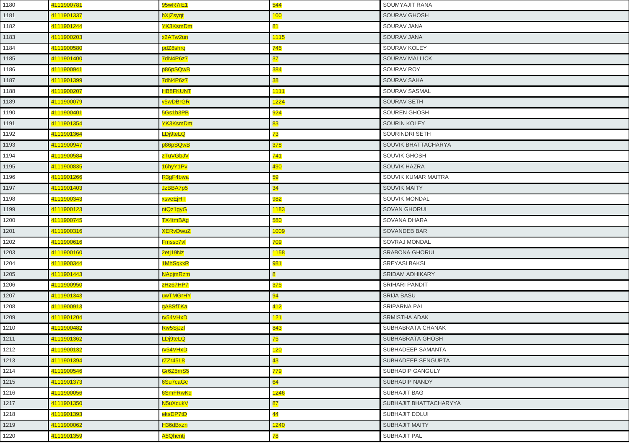| 1180 | 4111900781        | 95wR7rE1        | <mark>544</mark> | SOUMYAJIT RANA         |
|------|-------------------|-----------------|------------------|------------------------|
| 1181 | 4111901337        | hXjZsyqt        | 100              | <b>SOURAV GHOSH</b>    |
| 1182 | 4111901244        | YK3KsmDm        | <mark>81</mark>  | SOURAV JANA            |
| 1183 | 4111900203        | x2ATw2un        | 1115             | SOURAV JANA            |
| 1184 | 4111900580        | pdZ8shrq        | <mark>745</mark> | SOURAV KOLEY           |
| 1185 | 4111901400        | 7dN4P6z7        | 37               | <b>SOURAV MALLICK</b>  |
| 1186 | 4111900941        | p86pSQwB        | <b>384</b>       | SOURAV ROY             |
| 1187 | 4111901399        | 7dN4P6z7        | 38               | SOURAV SAHA            |
| 1188 | 4111900207        | <b>HB8FKUNT</b> | <u> 1111</u>     | SOURAV SASMAL          |
| 1189 | 4111900079        | v5wDBrGR        | 1224             | SOURAV SETH            |
| 1190 | 4111900401        | 5Gs1b3PB        | 924              | SOUREN GHOSH           |
| 1191 | 4111901354        | YK3KsmDm        | 83               | SOURIN KOLEY           |
| 1192 | 4111901364        | LDj9teLQ        | 73               | SOURINDRI SETH         |
| 1193 | 4111900947        | p86pSQwB        | 378              | SOUVIK BHATTACHARYA    |
| 1194 | 4111900584        | zTuVGbJV        | <b>741</b>       | SOUVIK GHOSH           |
| 1195 | 4111900835        | 16hyY1Pv        | 490              | <b>SOUVIK HAZRA</b>    |
| 1196 | 4111901266        | R3gF4bwa        | 59               | SOUVIK KUMAR MAITRA    |
| 1197 | 4111901403        | JzBBA7p5        | 34               | SOUVIK MAITY           |
| 1198 | 4111900343        | xsveEjHT        | 982              | SOUVIK MONDAL          |
| 1199 | 4111900123        | ntQz1gyG        | 1183             | <b>SOVAN GHORUI</b>    |
| 1200 | 4111900745        | TX4tmBAg        | 580              | SOVANA DHARA           |
| 1201 | 4111900316        | <b>XERvDwuZ</b> | 1009             | SOVANDEB BAR           |
| 1202 | 4111900616        | Fmssc7vf        | 709              | SOVRAJ MONDAL          |
| 1203 | 4111900160        | 2etj19Nz        | 1158             | <b>SRABONA GHORUI</b>  |
| 1204 | 4111900344        | 1MhSqkxR        | 981              | <b>SREYASI BAKSI</b>   |
| 1205 | 4111901443        | NApjmRzm        | $\overline{8}$   | <b>SRIDAM ADHIKARY</b> |
| 1206 | 4111900950        | zHz67HP7        | 375              | <b>SRIHARI PANDIT</b>  |
| 1207 | 4111901343        | <b>uwTMGrHY</b> | 94               | <b>SRIJA BASU</b>      |
| 1208 | 4111900913        | gA8SfTKa        | <u>412</u>       | SRIPARNA PAL           |
| 1209 | 4111901204        | rv54VHxD        | 121              | SRMISTHA ADAK          |
| 1210 | 4111900482        | Rw5SjJzf        | 843              | SUBHABRATA CHANAK      |
| 1211 | <u>4111901362</u> | LDj9teLQ        | 75               | SUBHABRATA GHOSH       |
| 1212 | 4111900132        | rv54VHxD        | 120              | SUBHADEEP SAMANTA      |
| 1213 | 4111901394        | rZZr45L8        | 43               | SUBHADEEP SENGUPTA     |
| 1214 | 4111900546        | Gr6Z5mS5        | 779              | SUBHADIP GANGULY       |
| 1215 | 4111901373        | 6Su7caGc        | 64               | SUBHADIP NANDY         |
| 1216 | 4111900056        | 6SmFRwKq        | 1246             | SUBHAJIT BAG           |
| 1217 | 4111901350        | N5uXcukV        | 87               | SUBHAJIT BHATTACHARYYA |
| 1218 | 4111901393        | eksDP7tD        | 44               | SUBHAJIT DOLUI         |
| 1219 | 4111900062        | H36dBxzn        | 1240             | <b>SUBHAJIT MAITY</b>  |
| 1220 | 4111901359        | A5Qhcntj        | 78               | <b>SUBHAJIT PAL</b>    |
|      |                   |                 |                  |                        |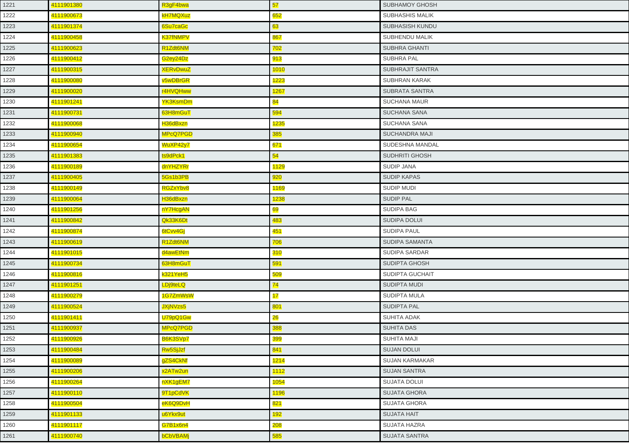| 1221 | 4111901380 | R3gF4bwa              | 57           | <b>SUBHAMOY GHOSH</b>   |
|------|------------|-----------------------|--------------|-------------------------|
| 1222 | 4111900673 | kH7MQXuz              | 652          | SUBHASHIS MALIK         |
| 1223 | 4111901374 | 6Su7caGc              | 63           | SUBHASISH KUNDU         |
| 1224 | 4111900458 | <b>K37fNMPV</b>       | 867          | SUBHENDU MALIK          |
| 1225 | 4111900623 | R1Zdt6NM              | 702          | SUBHRA GHANTI           |
| 1226 | 4111900412 | G <sub>2ey</sub> 24Dz | 913          | <b>SUBHRA PAL</b>       |
| 1227 | 4111900315 | <b>XERvDwuZ</b>       | 1010         | <b>SUBHRAJIT SANTRA</b> |
| 1228 | 4111900080 | v5wDBrGR              | 1223         | SUBHRAN KARAK           |
| 1229 | 4111900020 | r4HVQHww              | 1267         | <b>SUBRATA SANTRA</b>   |
| 1230 | 4111901241 | YK3KsmDm              | 84           | SUCHANA MAUR            |
| 1231 | 4111900731 | 63H8mGuT              | 594          | <b>SUCHANA SANA</b>     |
| 1232 | 4111900068 | H36dBxzn              | 1235         | SUCHANA SANA            |
| 1233 | 4111900940 | <b>MPcQ7PGD</b>       | 385          | SUCHANDRA MAJI          |
| 1234 | 4111900654 | WuXP42y7              | 671          | SUDESHNA MANDAL         |
| 1235 | 4111901383 | ts9dPck1              | 54           | SUDHRITI GHOSH          |
| 1236 | 4111900189 | dnYHZYRr              | 1129         | SUDIP JANA              |
| 1237 | 4111900405 | 5Gs1b3PB              | 920          | <b>SUDIP KAPAS</b>      |
| 1238 | 4111900149 | RGZxYbv8              | 1169         | SUDIP MUDI              |
| 1239 | 4111900064 | H36dBxzn              | 1238         | <b>SUDIP PAL</b>        |
| 1240 | 4111901256 | nY7HcgAN              | 69           | SUDIPA BAG              |
| 1241 | 4111900842 | Qk33K6Dt              | 483          | SUDIPA DOLUI            |
| 1242 | 4111900874 | 6tCvv4Gj              | 451          | <b>SUDIPA PAUL</b>      |
| 1243 | 4111900619 | R1Zdt6NM              | 706          | SUDIPA SAMANTA          |
| 1244 | 4111901015 | d4awEtNm              | 310          | <b>SUDIPA SARDAR</b>    |
| 1245 | 4111900734 | 63H8mGuT              | 591          | <b>SUDIPTA GHOSH</b>    |
| 1246 | 4111900816 | k321YeH5              | 509          | SUDIPTA GUCHAIT         |
| 1247 | 4111901251 | LDj9teLQ              | 74           | SUDIPTA MUDI            |
| 1248 | 4111900279 | 1G7ZmWsW              | 17           | SUDIPTA MULA            |
| 1249 | 4111900524 | <b>JXjNVzs5</b>       | 801          | SUDIPTA PAL             |
| 1250 | 4111901411 | U79pQ1Gw              | 26           | SUHITA ADAK             |
| 1251 | 4111900937 | MPcQ7PGD              | 388          | <b>SUHITA DAS</b>       |
| 1252 | 4111900926 | B6K3SVp7              | 399          | SUHITA MAJI             |
| 1253 | 4111900484 | Rw5SjJzf              | 841          | <b>SUJAN DOLUI</b>      |
| 1254 | 4111900089 | gZS4CkNf              | <u> 1214</u> | SUJAN KARMAKAR          |
| 1255 | 4111900206 | x2ATw2un              | 1112         | <b>SUJAN SANTRA</b>     |
| 1256 | 4111900264 | nXK1gEM7              | 1054         | SUJATA DOLUI            |
| 1257 | 4111900110 | 9T1pCdVK              | 1196         | <b>SUJATA GHORA</b>     |
| 1258 | 4111900504 | eK6Q9DvH              | 821          | <b>SUJATA GHORA</b>     |
| 1259 | 4111901133 | u6Ykx9ut              | 192          | <b>SUJATA HAIT</b>      |
| 1260 | 4111901117 | G7B1x6n4              | <b>208</b>   | SUJATA HAZRA            |
| 1261 | 4111900740 | bCbVBAMj              | 585          | <b>SUJATA SANTRA</b>    |
|      |            |                       |              |                         |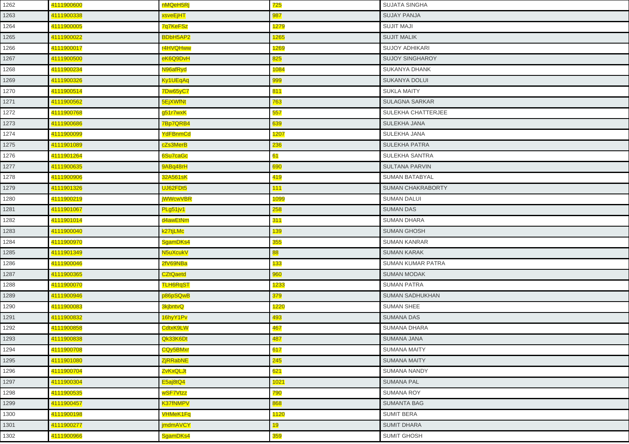| 1262 | 4111900600        | nMQeH5Rj        | <u>725</u>        | <b>SUJATA SINGHA</b>   |
|------|-------------------|-----------------|-------------------|------------------------|
| 1263 | 4111900338        | xsveEjHT        | 987               | <b>SUJAY PANJA</b>     |
| 1264 | 4111900005        | 7q7KeFSz        | 1279              | <b>SUJIT MAJI</b>      |
| 1265 | 4111900022        | BDbH5AP2        | 1265              | <b>SUJIT MALIK</b>     |
| 1266 | 4111900017        | r4HVQHww        | 1269              | <b>SUJOY ADHIKARI</b>  |
| 1267 | 4111900500        | eK6Q9DvH        | 825               | <b>SUJOY SINGHAROY</b> |
| 1268 | 4111900234        | N96afRyd        | <mark>1084</mark> | SUKANYA DHANK          |
| 1269 | 4111900326        | Ky1UEqAq        | 999               | SUKANYA DOLUI          |
| 1270 | 4111900514        | 7Dw65yC7        | 811               | <b>SUKLA MAITY</b>     |
| 1271 | 4111900562        | 5EjXWfNt        | 763               | SULAGNA SARKAR         |
| 1272 | 4111900768        | g51r7wxK        | 557               | SULEKHA CHATTERJEE     |
| 1273 | 4111900686        | 7Bp7QRB4        | 639               | <b>SULEKHA JANA</b>    |
| 1274 | 4111900099        | YdFBnmCd        | <b>1207</b>       | SULEKHA JANA           |
| 1275 | 4111901089        | cZs3MerB        | 236               | <b>SULEKHA PATRA</b>   |
| 1276 | 4111901264        | 6Su7caGc        | 61                | SULEKHA SANTRA         |
| 1277 | 4111900635        | 9ABq48rH        | 690               | <b>SULTANA PARVIN</b>  |
| 1278 | 4111900906        | 32A561sK        | <mark>419</mark>  | <b>SUMAN BATABYAL</b>  |
| 1279 | 4111901326        | UJ62FDt5        | 111               | SUMAN CHAKRABORTY      |
| 1280 | 4111900219        | jWWcwVBR        | 1099              | <b>SUMAN DALUI</b>     |
| 1281 | 4111901067        | PLg51jv1        | 258               | <b>SUMAN DAS</b>       |
| 1282 | 4111901014        | d4awEtNm        | 311               | <b>SUMAN DHARA</b>     |
| 1283 | 4111900040        | k27tjLMc        | <b>139</b>        | <b>SUMAN GHOSH</b>     |
| 1284 | 4111900970        | SgamDKs4        | 355               | <b>SUMAN KANRAR</b>    |
| 1285 | 4111901349        | N5uXcukV        | 88                | <b>SUMAN KARAK</b>     |
| 1286 | 4111900046        | 2fV69NBa        | <b>133</b>        | SUMAN KUMAR PATRA      |
| 1287 | 4111900365        | <b>CZtQaetd</b> | 960               | <b>SUMAN MODAK</b>     |
| 1288 | 4111900070        | TLH6RqST        | 1233              | <b>SUMAN PATRA</b>     |
| 1289 | 4111900946        | p86pSQwB        | 379               | SUMAN SADHUKHAN        |
| 1290 | 4111900083        | 3kjbntvQ        | 1220              | SUMAN SHEE             |
| 1291 | 4111900832        | 16hyY1Pv        | 493               | <b>SUMANA DAS</b>      |
| 1292 | 4111900858        | CdtxK9LW        | 467               | <b>SUMANA DHARA</b>    |
| 1293 | <u>4111900838</u> | Qk33K6Dt        | 487               | SUMANA JANA            |
| 1294 | 4111900708        | CQy5BMxr        | 617               | <b>SUMANA MAITY</b>    |
| 1295 | 4111901080        | ZjRRabNE        | 245               | <b>SUMANA MAITY</b>    |
| 1296 | 4111900704        | <b>ZvKxQLJt</b> | 621               | SUMANA NANDY           |
| 1297 | 4111900304        | E5aj8tQ4        | 1021              | <b>SUMANA PAL</b>      |
| 1298 | 4111900535        | wSF7Vtzz        | 790               | <b>SUMANA ROY</b>      |
| 1299 | 4111900457        | <b>K37fNMPV</b> | 868               | SUMANTA BAG            |
| 1300 | 4111900198        | <b>VHMeK1Fq</b> | <b>1120</b>       | <b>SUMIT BERA</b>      |
| 1301 | 4111900277        | jmdmAVCY        | 19                | <b>SUMIT DHARA</b>     |
| 1302 | 4111900966        | SgamDKs4        | 359               | <b>SUMIT GHOSH</b>     |
|      |                   |                 |                   |                        |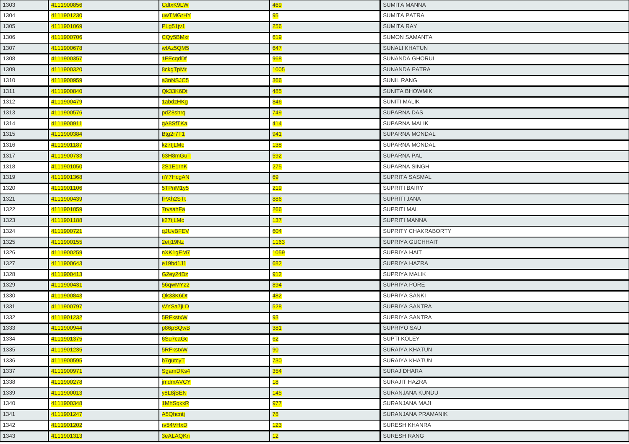| 1303 | 4111900856 | CdtxK9LW        | 469         | <b>SUMITA MANNA</b>   |
|------|------------|-----------------|-------------|-----------------------|
| 1304 | 4111901230 | <b>uwTMGrHY</b> | 95          | <b>SUMITA PATRA</b>   |
| 1305 | 4111901069 | PLg51jv1        | 256         | <b>SUMITA RAY</b>     |
| 1306 | 4111900706 | CQy5BMxr        | 619         | <b>SUMON SAMANTA</b>  |
| 1307 | 4111900678 | wfAz5QM5        | 647         | <b>SUNALI KHATUN</b>  |
| 1308 | 4111900357 | 1FEcqdDf        | 968         | SUNANDA GHORUI        |
| 1309 | 4111900320 | 8ckgTpMr        | 1005        | <b>SUNANDA PATRA</b>  |
| 1310 | 4111900959 | a3nNSJC5        | 366         | SUNIL RANG            |
| 1311 | 4111900840 | Qk33K6Dt        | 485         | <b>SUNITA BHOWMIK</b> |
| 1312 | 4111900479 | 1abdzHKg        | 846         | <b>SUNITI MALIK</b>   |
| 1313 | 4111900576 | pdZ8shrq        | 749         | <b>SUPARNA DAS</b>    |
| 1314 | 4111900911 | gA8SfTKa        | 414         | SUPARNA MALIK         |
| 1315 | 4111900384 | Btg2r7T1        | 941         | SUPARNA MONDAL        |
| 1316 | 4111901187 | k27tjLMc        | <b>138</b>  | SUPARNA MONDAL        |
| 1317 | 4111900733 | 63H8mGuT        | 592         | <b>SUPARNA PAL</b>    |
| 1318 | 4111901050 | 2S1E1mK         | 275         | <b>SUPARNA SINGH</b>  |
| 1319 | 4111901368 | nY7HcgAN        | 69          | <b>SUPRITA SASMAL</b> |
| 1320 | 4111901106 | 5TPnM1y5        | <b>219</b>  | SUPRITI BAIRY         |
| 1321 | 4111900439 | fPXh2STt        | 886         | <b>SUPRITI JANA</b>   |
| 1322 | 4111901059 | <b>7rvsahFa</b> | 266         | SUPRITI MAL           |
| 1323 | 4111901188 | k27tjLMc        | 137         | SUPRITI MANNA         |
| 1324 | 4111900721 | qJUvBFEV        | 604         | SUPRITY CHAKRABORTY   |
| 1325 | 4111900155 | 2etj19Nz        | 1163        | SUPRIYA GUCHHAIT      |
| 1326 | 4111900259 | nXK1gEM7        | <b>1059</b> | SUPRIYA HAIT          |
| 1327 | 4111900643 | e19bd1J1        | 682         | <b>SUPRIYA HAZRA</b>  |
| 1328 | 4111900413 | G2ey24Dz        | 912         | SUPRIYA MALIK         |
| 1329 | 4111900431 | 56qwMYz2        | 894         | SUPRIYA PORE          |
| 1330 | 4111900843 | Qk33K6Dt        | 482         | SUPRIYA SANKI         |
| 1331 | 4111900797 | WYSa7jLD        | 528         | SUPRIYA SANTRA        |
| 1332 | 4111901232 | <b>5RFkstxW</b> | 93          | SUPRIYA SANTRA        |
| 1333 | 4111900944 | p86pSQwB        | 381         | SUPRIYO SAU           |
| 1334 | 4111901375 | 6Su7caGc        | <u>62</u>   | SUPTI KOLEY           |
| 1335 | 4111901235 | <b>5RFkstxW</b> | 90          | <b>SURAIYA KHATUN</b> |
| 1336 | 4111900595 | b7gutcyT        | <b>730</b>  | SURAIYA KHATUN        |
| 1337 | 4111900971 | SgamDKs4        | 354         | <b>SURAJ DHARA</b>    |
| 1338 | 4111900278 | <b>jmdmAVCY</b> | <b>18</b>   | SURAJIT HAZRA         |
| 1339 | 4111900013 | y8L8jSEN        | 145         | SURANJANA KUNDU       |
| 1340 | 4111900348 | 1MhSqkxR        | 977         | SURANJANA MAJI        |
| 1341 | 4111901247 | <b>A5Qhcntj</b> | 78          | SURANJANA PRAMANIK    |
| 1342 | 4111901202 | rv54VHxD        | <b>123</b>  | SURESH KHANRA         |
| 1343 | 4111901313 | 3eALAQKn        | 12          | <b>SURESH RANG</b>    |
|      |            |                 |             |                       |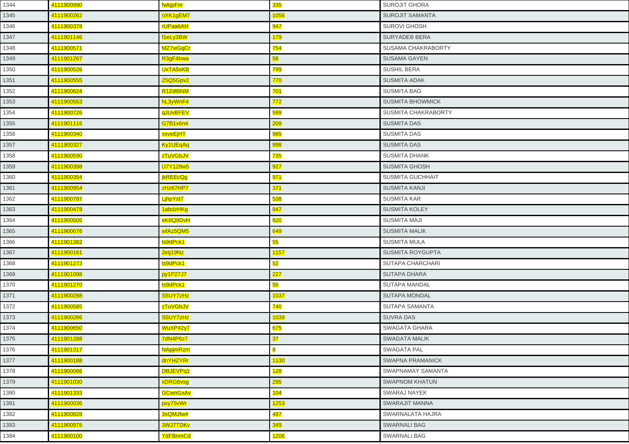| 1344 | 4111900990        | <u>fwkjpFnr</u> | <mark>335</mark> | SUROJIT GHORA           |
|------|-------------------|-----------------|------------------|-------------------------|
| 1345 | 4111900262        | nXK1gEM7        | 1056             | SUROJIT SAMANTA         |
| 1346 | 4111900378        | rUPaa6AH        | 947              | <b>SUROVI GHOSH</b>     |
| 1347 | 4111901146        | f1eLy3BW        | 179              | <b>SURYADEB BERA</b>    |
| 1348 | 4111900571        | MZ7wGgCr        | 754              | SUSAMA CHAKRABORTY      |
| 1349 | 4111901267        | R3gF4bwa        | 58               | <b>SUSAMA GAYEN</b>     |
| 1350 | 4111900526        | UxTA5sKB        | 799              | SUSHIL BERA             |
| 1351 | 4111900555        | Z5Q5Gpv2        | 770              | SUSMITA ADAK            |
| 1352 | 4111900624        | R1Zdt6NM        | 701              | <b>SUSMITA BAG</b>      |
| 1353 | 4111900553        | hL3yWnF4        | 772              | <b>SUSMITA BHOWMICK</b> |
| 1354 | 4111900726        | qJUvBFEV        | 599              | SUSMITA CHAKRABORTY     |
| 1355 | 4111901116        | G7B1x6n4        | 209              | <b>SUSMITA DAS</b>      |
| 1356 | 4111900340        | xsveEjHT        | 985              | SUSMITA DAS             |
| 1357 | 4111900327        | Ky1UEqAq        | 998              | <b>SUSMITA DAS</b>      |
| 1358 | 4111900590        | zTuVGbJV        | <b>735</b>       | <b>SUSMITA DHANK</b>    |
| 1359 | 4111900398        | U7Y129w5        | 927              | <b>SUSMITA GHOSH</b>    |
| 1360 | 4111900354        | jkREEcQg        | 971              | SUSMITA GUCHHAIT        |
| 1361 | 4111900954        | zHz67HP7        | 371              | SUSMITA KANJI           |
| 1362 | 4111900787        | LjhpYst7        | 538              | <b>SUSMITA KAR</b>      |
| 1363 | 4111900478        | 1abdzHKg        | 847              | SUSMITA KOLEY           |
| 1364 | 4111900505        | eK6Q9DvH        | 820              | <b>SUSMITA MAJI</b>     |
| 1365 | 4111900676        | wfAz5QM5        | 649              | <b>SUSMITA MALIK</b>    |
| 1366 | 4111901382        | ts9dPck1        | 55               | <b>SUSMITA MULA</b>     |
| 1367 | 4111900161        | 2etj19Nz        | 1157             | <b>SUSMITA ROYGUPTA</b> |
| 1368 | 4111901273        | ts9dPck1        | 52               | SUTAPA CHARCHARI        |
| 1369 | 4111901098        | py1P27J7        | 227              | <b>SUTAPA DHARA</b>     |
| 1370 | 4111901270        | ts9dPck1        | 55               | <b>SUTAPA MANDAL</b>    |
| 1371 | 4111900288        | S5UY7zHz        | 1037             | <b>SUTAPA MONDAL</b>    |
| 1372 | 4111900585        | <b>zTuVGbJV</b> | 740              | SUTAPA SAMANTA          |
| 1373 | 4111900286        | S5UY7zHz        | 1039             | <b>SUVRA DAS</b>        |
| 1374 | 4111900650        | WuXP42y7        | 675              | SWAGATA GHARA           |
| 1375 | <u>4111901288</u> | 7dN4P6z7        |                  | SWAGATA MALIK           |
| 1376 | 4111901317        | <b>NApjmRzm</b> | 8                | <b>SWAGATA PAL</b>      |
| 1377 | 4111900188        | dnYHZYRr        | 1130             | <b>SWAPNA PRAMANICK</b> |
| 1378 | 4111900066        | DBJEVPq1        | 128              | SWAPNAMAY SAMANTA       |
| 1379 | 4111901030        | xDRG6vsg        | 295              | <b>SWAPNOM KHATUN</b>   |
| 1380 | 4111901333        | <b>GCwnGxAv</b> | 104              | SWARAJ NAYEK            |
| 1381 | 4111900036        | pxy75vWr        | 1253             | <b>SWARAJIT MANNA</b>   |
| 1382 | 4111900828        | 3sQMJfw4        | 497              | SWARNALATA HAJRA        |
| 1383 | 4111900976        | 3WJ7TDKv        | 349              | SWARNALI BAG            |
| 1384 | 4111900100        | YdFBnmCd        | <b>1206</b>      | <b>SWARNALI BAG</b>     |
|      |                   |                 |                  |                         |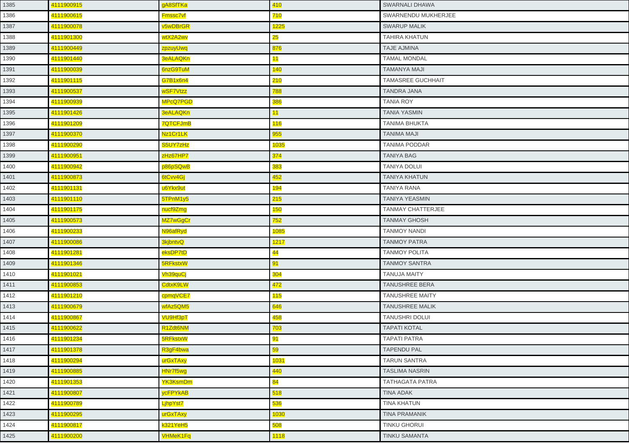| 1385 | 4111900915        | gA8SfTKa             | 410         | SWARNALI DHAWA           |
|------|-------------------|----------------------|-------------|--------------------------|
| 1386 | 4111900615        | Fmssc7vf             | 710         | SWARNENDU MUKHERJEE      |
| 1387 | 4111900078        | v5wDBrGR             | 1225        | <b>SWARUP MALIK</b>      |
| 1388 | 4111901300        | wtX2A2wv             | 25          | <b>TAHIRA KHATUN</b>     |
| 1389 | 4111900449        | zpzuyUwq             | 876         | <b>TAJE AJMINA</b>       |
| 1390 | 4111901440        | <b>3eALAQKn</b>      | 11          | <b>TAMAL MONDAL</b>      |
| 1391 | 4111900039        | 6nzG9TuM             | 140         | <b>TAMANYA MAJI</b>      |
| 1392 | 4111901115        | G7B1x6n4             | 210         | <b>TAMASREE GUCHHAIT</b> |
| 1393 | 4111900537        | wSF7Vtzz             | 788         | <b>TANDRA JANA</b>       |
| 1394 | 4111900939        | MP <sub>cQ7PGD</sub> | 386         | <b>TANIA ROY</b>         |
| 1395 | 4111901426        | <b>3eALAQKn</b>      | 11          | <b>TANIA YASMIN</b>      |
| 1396 | 4111901209        | 7QTCFJmB             | <b>116</b>  | <b>TANIMA BHUKTA</b>     |
| 1397 | 4111900370        | Nz1Cr1LK             | 955         | <b>TANIMA MAJI</b>       |
| 1398 | 4111900290        | S5UY7zHz             | 1035        | <b>TANIMA PODDAR</b>     |
| 1399 | 4111900951        | zHz67HP7             | 374         | <b>TANIYA BAG</b>        |
| 1400 | 4111900942        | p86pSQwB             | 383         | <b>TANIYA DOLUI</b>      |
| 1401 | 4111900873        | 6tCvv4Gj             | 452         | <b>TANIYA KHATUN</b>     |
| 1402 | 4111901131        | u6Ykx9ut             | <b>194</b>  | <b>TANIYA RANA</b>       |
| 1403 | 4111901110        | 5TPnM1y5             | 215         | <b>TANIYA YEASMIN</b>    |
| 1404 | 4111901175        | nucf9Zmg             | <b>150</b>  | <b>TANMAY CHATTERJEE</b> |
| 1405 | 4111900573        | MZ7wGgCr             | 752         | <b>TANMAY GHOSH</b>      |
| 1406 | 4111900233        | N96afRyd             | 1085        | <b>TANMOY NANDI</b>      |
| 1407 | 4111900086        | 3kjbntvQ             | 1217        | <b>TANMOY PATRA</b>      |
| 1408 | 4111901281        | eksDP7tD             | 44          | <b>TANMOY POLITA</b>     |
| 1409 | 4111901346        | <b>5RFkstxW</b>      | 91          | <b>TANMOY SANTRA</b>     |
| 1410 | 4111901021        | Vh39quCj             | 304         | <b>TANUJA MAITY</b>      |
| 1411 | 4111900853        | CdtxK9LW             | 472         | TANUSHREE BERA           |
| 1412 | 4111901210        | cpmqVCE7             | 115         | <b>TANUSHREE MAITY</b>   |
| 1413 | 4111900679        | wfAz5QM5             | 646         | <b>TANUSHREE MALIK</b>   |
| 1414 | 4111900867        | VU9Hf3pT             | 458         | TANUSHRI DOLUI           |
| 1415 | 4111900622        | R1Zdt6NM             | 703         | <b>TAPATI KOTAL</b>      |
| 1416 | <u>4111901234</u> | 5RFkstxW             | <u>91</u>   | <b>TAPATI PATRA</b>      |
| 1417 | 4111901378        | R3gF4bwa             | 59          | <b>TAPENDU PAL</b>       |
| 1418 | 4111900294        | urGxTAxy             | <b>1031</b> | <b>TARUN SANTRA</b>      |
| 1419 | 4111900885        | HNr7f5wg             | 440         | <b>TASLIMA NASRIN</b>    |
| 1420 | 4111901353        | YK3KsmDm             | 84          | TATHAGATA PATRA          |
| 1421 | 4111900807        | <b>ycFPYkAB</b>      | 518         | <b>TINA ADAK</b>         |
| 1422 | 4111900789        | LjhpYst7             | 536         | <b>TINA KHATUN</b>       |
| 1423 | 4111900295        | urGxTAxy             | 1030        | <b>TINA PRAMANIK</b>     |
| 1424 | 4111900817        | k321YeH5             | 508         | TINKU GHORUI             |
| 1425 | 4111900200        | <b>VHMeK1Fq</b>      | 1118        | <b>TINKU SAMANTA</b>     |
|      |                   |                      |             |                          |